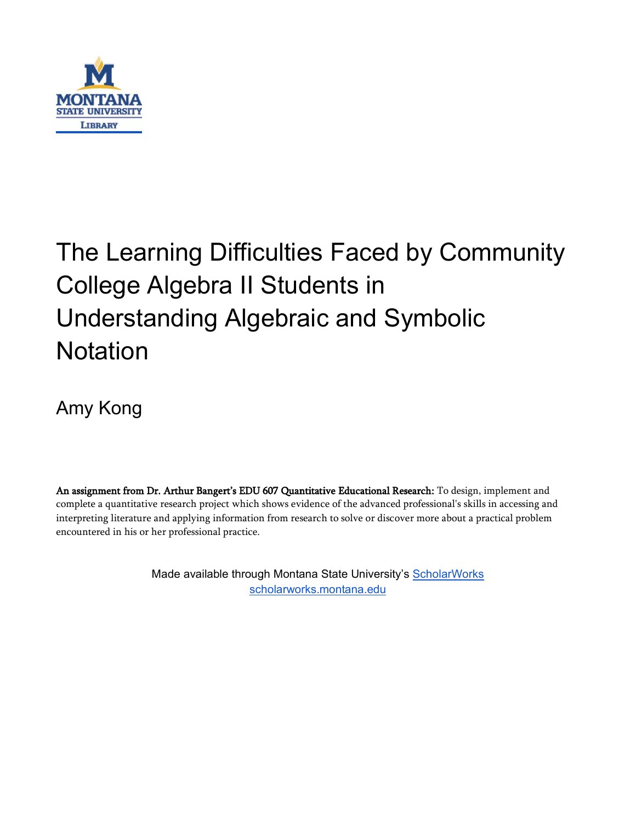

# The Learning Difficulties Faced by Community College Algebra II Students in Understanding Algebraic and Symbolic **Notation**

Amy Kong

An assignment from Dr. Arthur Bangert's EDU 607 Quantitative Educational Research: To design, implement and complete a quantitative research project which shows evidence of the advanced professional's skills in accessing and interpreting literature and applying information from research to solve or discover more about a practical problem encountered in his or her professional practice.

> Made available through Montana State University's [ScholarWorks](http://scholarworks.montana.edu/) [scholarworks.montana.edu](http://scholarworks.montana.edu/)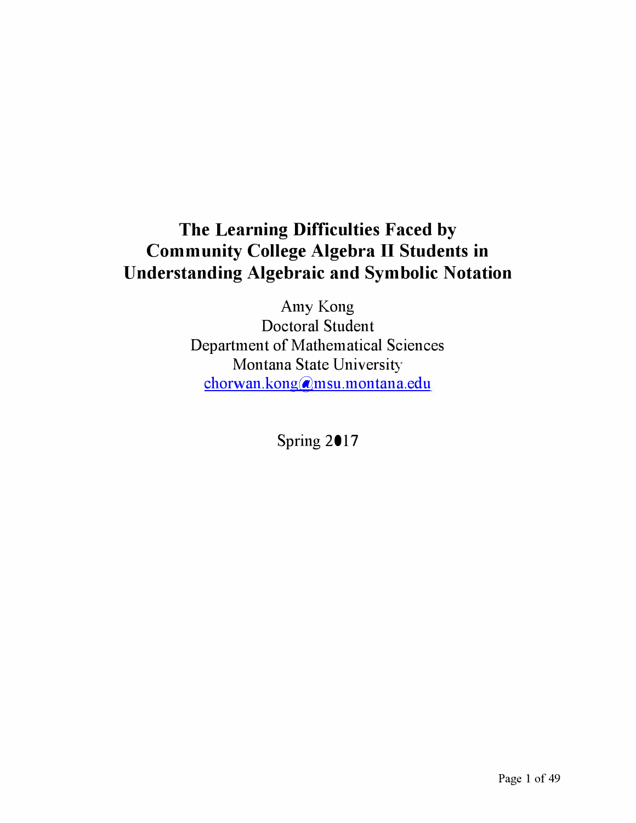# **The Learning Difficulties Faced by Community College Algebra II Students in Understanding Algebraic and Symbolic Notation**

Amy Kong Doctoral Student Department of Mathematical Sciences Montana State University [chorwan.kong@msu.montana.edu](mailto:chorwan.kong@msu.montana.edu) 

Spring 2017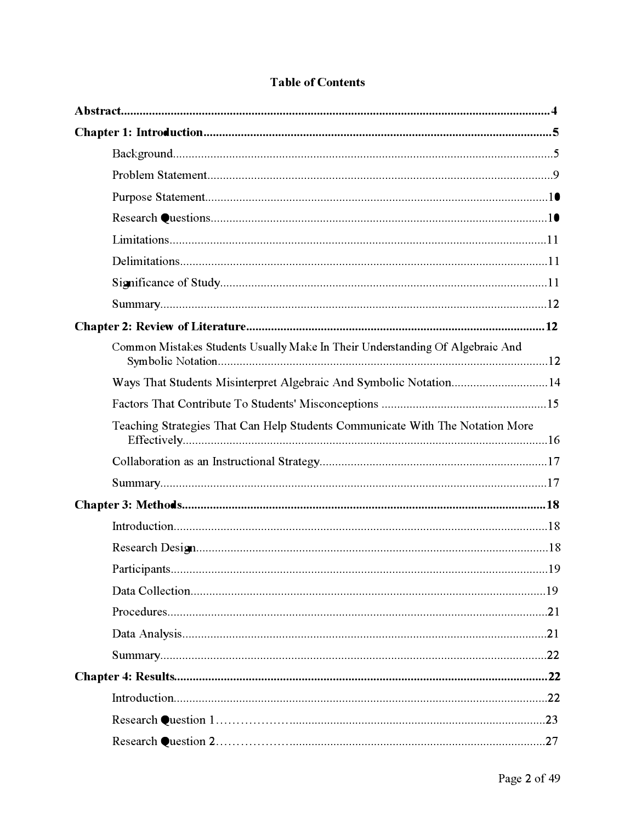| Common Mistakes Students Usually Make In Their Understanding Of Algebraic And |  |
|-------------------------------------------------------------------------------|--|
| Ways That Students Misinterpret Algebraic And Symbolic Notation14             |  |
|                                                                               |  |
| Teaching Strategies That Can Help Students Communicate With The Notation More |  |
|                                                                               |  |
|                                                                               |  |
|                                                                               |  |
|                                                                               |  |
|                                                                               |  |
|                                                                               |  |
|                                                                               |  |
|                                                                               |  |
|                                                                               |  |
|                                                                               |  |
|                                                                               |  |
|                                                                               |  |
|                                                                               |  |
|                                                                               |  |

# **Table of Contents**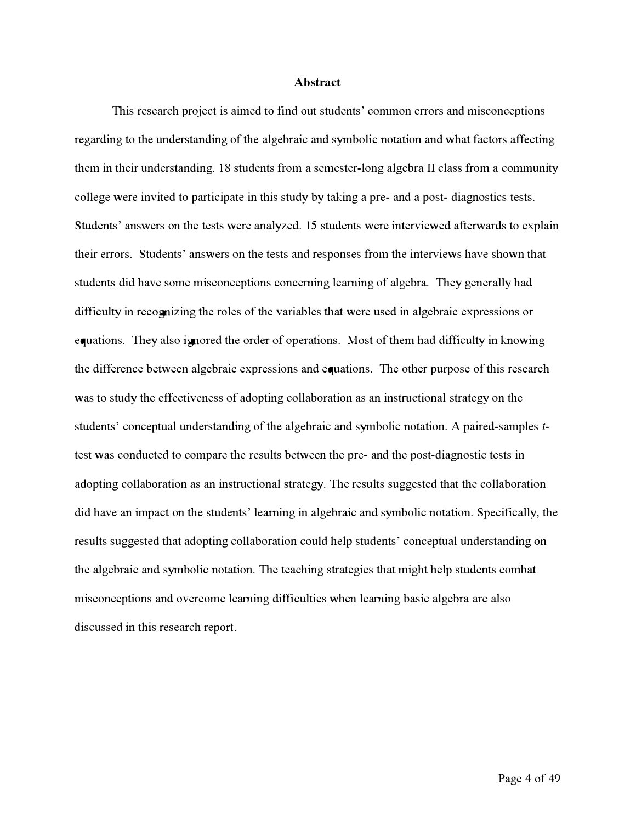#### **Abstract**

This research project is aimed to f**i**nd out students' common errors and misconceptions regarding to the understanding of the algebraic and symbolic notation and what factors affecting them in their understanding. 18 students from a semester-long algebra *II* class from a community college were invited to par**t**icipate in this study by taking a pre- and a post- diagnostics tests. Students' answers on the tests were analyzed. 15 students were interviewed afterwards to explain their errors. Students' answers on the tests and responses from the interviews have shown that students did have some misconceptions concerning learning of algebra. They generally had diff**i**culty in recognizing the roles of the variables that were used in algebraic expressions or equations. They also ignored the order of opera*t*ions. *M*ost of them had diff**i**culty in knowing the difference between algebraic expressions and equations. The other purpose of this research was to study the effectiveness of adopting collaboration as an instructional strategy on the students' conceptual understanding of the algebraic and symbolic notation. A paired-samples *t*test was conducted to compare the results between the pre- and the post-diagnostic tests in adopting collaboration as an instructional strategy. The results suggested that the collaboration did have an impact on the students' learning in algebraic and symbolic notation. Specif**i**cally, the results suggested that adopting collabora*t*ion could help students' conceptual understanding on the algebraic and symbolic notation. The teaching strategies that might help students combat misconceptions and overcome learning diff**i**culties when learning basic algebra are also discussed in this research repor**t**.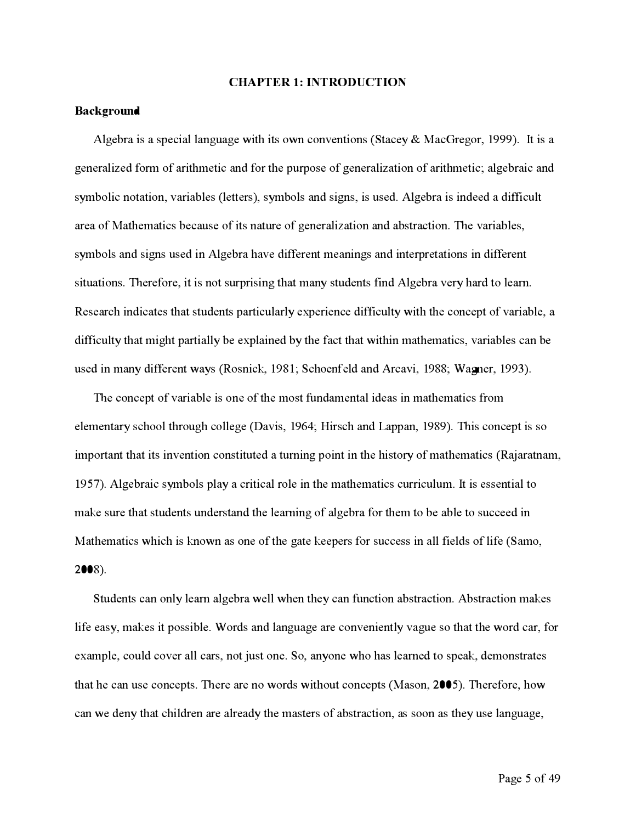#### **CH***A***PTER 1: INTRODUCTION**

#### **B***ac***kground**

Algebra is a special language with its own conventions (Stacey & MacGregor, 1999). It is a generalized form of arithmetic and for the purpose of generalization of arithmetic; algebraic and symbolic notation, variables (letters), symbols and signs, is used. Algebra is indeed a difficult area of Mathematics because of its nature of generalization and abstraction. The variables, symbols and signs used in Algebra have different meanings and interpretations in different situations. Therefore, it is not surprising that many students find Algebra very hard to learn. Research indicates that students particularly experience difficulty with the concept of variable, a difficulty that might partially be explained by the fact that within mathematics, variables can be **u**sed *i*n m**a**n*y* d*iff*eren*t w***a***y*s (Rosn*ic*k, 1981; *Sc*hoenfeld **a**nd Ar*c***a**v*i*, 1988; W**a***gn*er, 1993).

The concept of variable is one of the most fundamental ideas in mathematics from elementary school through college (Davis, 1964; Hirsch and Lappan, 1989). This concept is so important that its invention constituted a turning point in the history of mathematics (Rajaratnam, 1957). Algebraic symbols play a critical role in the mathematics curriculum. It is essential to make sure that students understand the learning of algebra for them to be able to succeed in Mathematics which is known as one of the gate keepers for success in all fields of life (Samo, 2*00*8).

Students can only learn algebra well when they can function abstraction. Abstraction makes life easy, makes it possible. Words and language are conveniently vague so that the word car, for example, could cover all cars, not just one. So, anyone who has learned to speak, demonstrates that he can use concepts. There are no words without concepts (Mason, 2005). Therefore, how can we deny that children are already the masters of abstraction, as soon as they use language,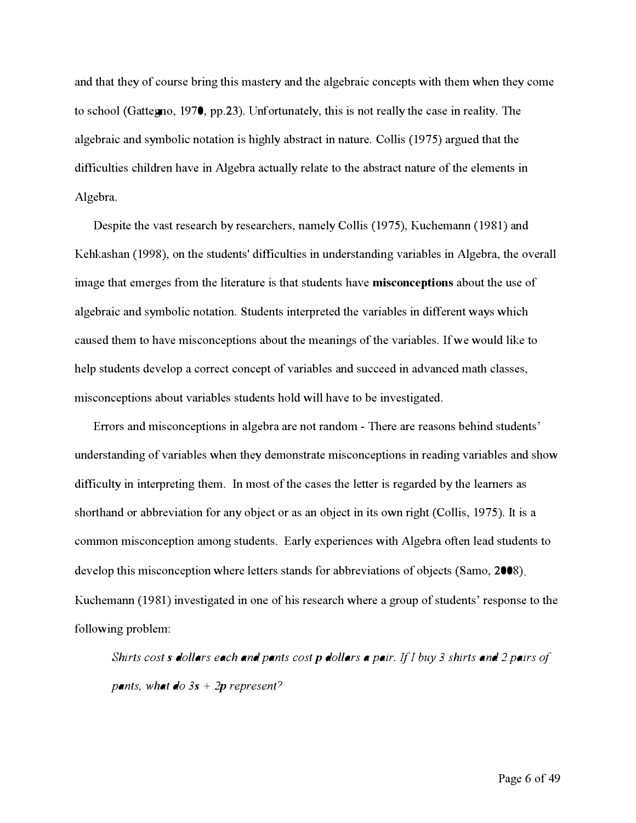an**d** that they of course bring this mastery an**d** the algebraic concepts with them when they come to school **(**Ga*t*tegno, 1970, pp.23). Unfor*t*unately, this is not really the case in reality. The algebraic an**d** symbolic notation is highly abstract in nature. Collis **(**197**5**) argue**d** that the **d**ifficulties chil**d**ren have in Algebra actually relate to the abstract nature of the elements in Algebra.

Despite the vast research by researchers, namely Collis **(**197**5**), Kuchemann **(**1981) an**d**  Kehkashan (1998), on the students' difficulties in understanding variables in Algebra, the overall image that emerges from the literature is that stu**d**ents have **misconceptions** about the use of algebraic an**d** symbolic notation. Stu**d**ents interprete**d** the variables in **d**ifferent ways which cause**d** them to have misconceptions about the meanings of the variables. Ifwe woul**d** like to help stu**d**ents **d**evelop a correct concept of variables an**d** succee**d** in a**d**vance**d** math classes, misconceptions about variables stu**d**ents hol**d** will have to be investigate**d**.

Errors an**d** misconceptions in algebra are not ran**d**om - There are reasons behin**d** stu**d**ents**'**  un**d**erstan**d**ing of variables when they **d**emonstrate misconceptions in rea**d**ing variables an**d** show **d**ifficulty in interpreting them. In most of the cases the letter is regar**d**e**d** by the learners as shor*t*han**d** or abbreviation for any ob**j**ect or as an ob**j**ect in its own right **(**Collis, 197**5**). I*t* is a common misconception among stu**d**ents. Early experiences with Algebra o**ft**en lea**d** stu**d**ents to **d**evelop this misconception where letters stan**d**s for abbreviations of ob**j**ects **(**Samo, 2008). Kuchemann **(**1981) investigate**d** in one of his research where a group of stu**d**ents**'** response to the following problem:

*Shir***t***s cos***t***s dollars each and pan***t***s cos***t** *p dollars a pair***.** *If I buy 3 shir***t***s and 2 pairs of pants, what*  $\bf{d}o 3s + 2p$  *represent?*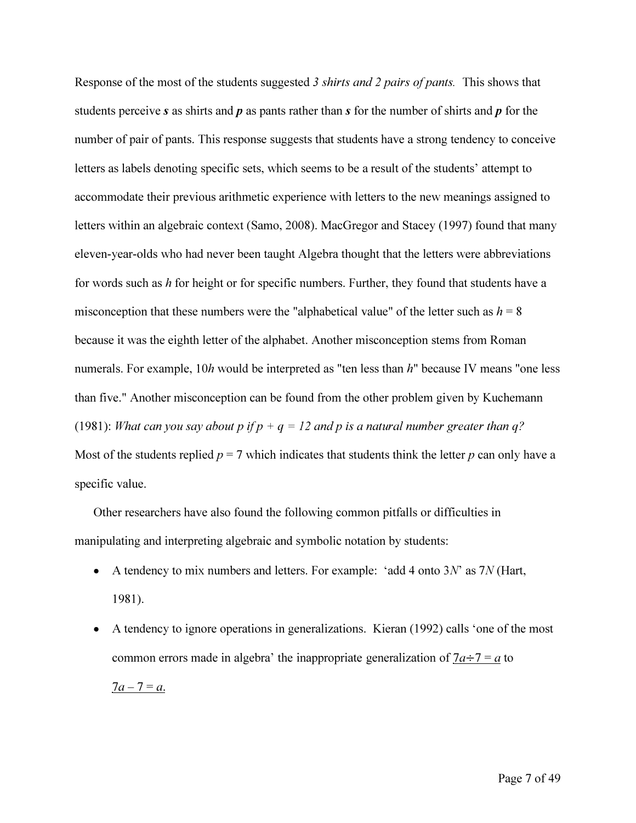Response of the most of the students suggested *3 shirts and 2 pairs of pants.* This shows that students perceive *s* as shirts and p as pants rather than *s* for the number of shirts and p for the number of pair of pants. This response suggests that students have a strong tendency to conceive letters as labels denoting specific sets, which seems to be a result of the students' attempt to accommodate their previous arithmetic experience with letters to the new meanings assigned to letters within an algebraic context (Samo, 2008). MacGregor and Stacey (1997) found that many eleven-year-olds who had never been taught Algebra thought that the letters were abbreviations for words such as  $h$  for height or for specific numbers. Further, they found that students have a misconception that these numbers were the "alphabetical value" of the letter such as  $h = 8$ because it was the eighth letter of the alphabet. Another misconception stems from Roman numerals. For example, 10*h* would be interpreted as "ten less than *h*" because IV means "one less than five." Another misconception can be found from the other problem given by Kuchemann (1981): *What can you say about p if*  $p + q = 12$  *and p is a natural number greater than q?* Most of the students replied  $p = 7$  which indicates that students think the letter  $p$  can only have a specific value.

Other researchers have also found the following common pitfalls or difficulties in manipulating and interpreting algebraic and symbolic notation by students:

- A tendency to mix numbers and letters. For example: 'add 4 onto *3N'* as *7N* (Hart, 1981).
- A tendency to ignore operations in generalizations. Kieran (1992) calls 'one of the most common errors made in algebra' the inappropriate generalization of  $7a \div 7 = a$  to  $7a - 7 = a$ .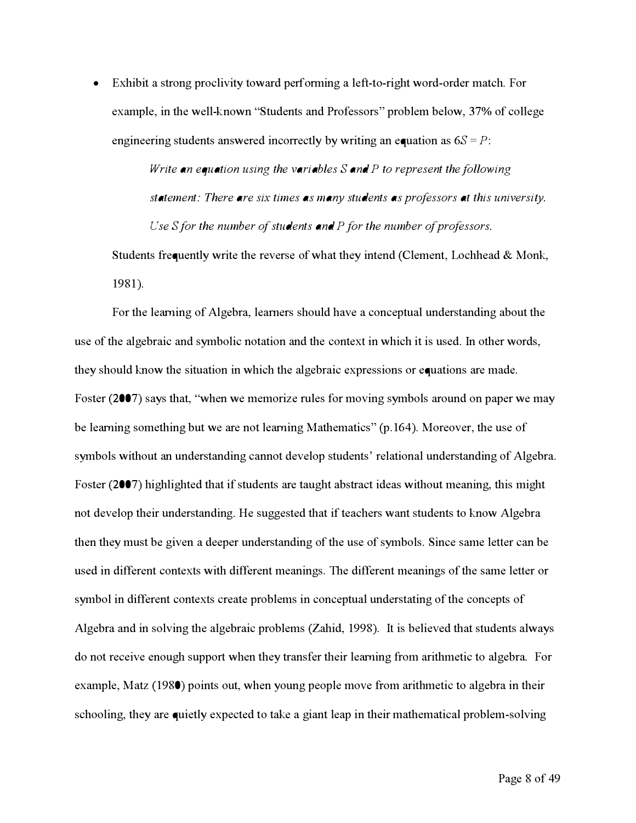• **E**xhibit a stron**g** proclivity toward performin**g** a left**-**to**-**ri**g**ht word**-**order match**.** For example**,** in the well**-k**nown "**S**tudents and **P**rofessors" problem below**,** 37% of colle**g**e engineering students answered incorrectly by writing an equation as  $6S = P$ :

> *Write an equation using the variables Sand P to represent the following statement: There are six times as many students as professors at this university***.**  *Use Sfor the number of students and P for the number of professors***.**

**S**tudents frequently write the reverse of what they intend (Clement**,** Lochhead & Mon**k,**  1981 )**.** 

For the learnin**g** of Al**g**ebra**,** learners should have a conceptual understandin**g** about the use of the al**g**ebraic and symbolic notation and the context in which it is used**.** In other words**,**  they should **k**now the situation in which the al**g**ebraic expressions or equations are made**.**  Foster (2007) says that**,** "when we memorize rules for movin**g** symbols around on paper we may be learnin**g** somethin**g** but we are not learnin**g** Mathematics" (p**.**164)**.** Moreover**,** the use of symbols without an understandin**g** cannot develop students' relational understandin**g** of Al**g**ebra**.**  Foster (2007) hi**g**hli**g**hted that if students are tau**g**ht abstract ideas without meanin**g,** this mi**g**ht not develop their understandin**g.** *H*e su**gg**ested that if teachers want students to **k**now Al**g**ebra then they must be **g**iven a deeper understandin**g** of the use of symbols**. S**ince same letter can be used in dif**f**erent contexts with dif**f**erent meanin**g**s**.** The dif**f**erent meanin**g**s of the same letter or symbol in dif**f**erent contexts create problems in conceptual understatin**g** of the concepts of Al**g**ebra and in solvin**g** the al**g**ebraic problems (Zahid**,** 1998)**.** It is believed that students always do not receive enou**g**h support when they transfer their learnin**g** from arithmetic to al**g**ebra**.** For example**,** Matz (1980) points out**,** when youn**g** people move from arit**h**metic to al**g**ebra in their schoolin**g,** they are quietly expected to ta**k**e a **g**iant leap in their mathematical problem**-**solvin**g**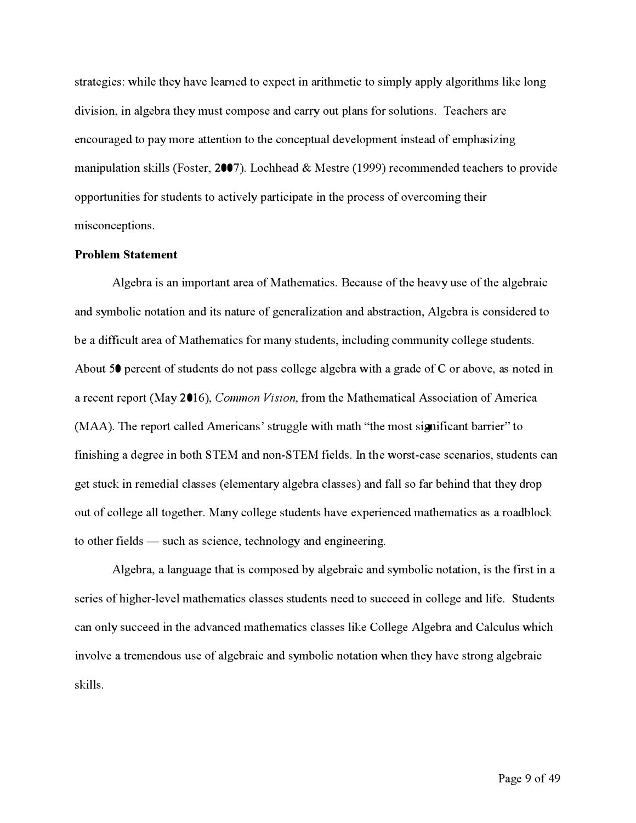str**a**tegies**:** while they h**a**ve learned to expect in **a**rithmetic to simply **a**pply **a**lgorithms like long division**,** in **a**lgebr**a** they must compose **a**nd c**a**rry out pl**a**ns f*o*r solutions**.** Te**a**chers **a**re encour**a**ged to p**a**y more **a**ttention to the conceptu**a**l development inste**a**d of emph**a**sizing m**a**nipul**a**tion skills (Foster**,** 2007)**.** Lochhe**a**d & Mestre (1999) recommended te**a**chers to provide oppor*t*unities f*o*r students to **a**ctively p**a**r*t*icip**a**te in the process of overcoming their misconceptions**.** 

#### **Problem Statement**

Algebr**a** is **a**n impor*t***a**nt **a**re**a** of M**a**them**a**tics**.** Bec**a**use of the he**a**vy use of the **a**lgebr**a**ic **a**nd symbolic not**a**tion **a**nd its n**a**ture of gener**a**liz**a**tion **a**nd **a**bstr**a**ction**,** Algebr**a** is considered to be **a** difficult **a**re**a** of M**a**them**a**tics f*o*r m**a**ny students**,** including community college students**.**  About 50 percent of students do not p**a**ss college **a**lgebr**a** with **a** gr**a**de of C or **a**bove**, a**s noted in **a** recent repor*t* (M**a**y 201**6**)**,** *Common Vision,* f*r*om the M**a**them**a**tic**a**l Associ**a**tion of **A**meric**a**  (MAA)**.** The repor*t* c**a**lled **A**meric**a**ns' struggle with m**a**th "the most signific**a**nt b**a**rrier" to finishing **a** degree in both STEM **a**nd non**-**STEM fields**.** *I*n the worst**-**c**a**se scen**a**rios**,** students c**a**n get stuck in remedi**a**l cl**a**sses ( element**a**ry **a**lgebr**a** cl**a**sses) **a**nd fall so f**a**r behind th**a**t they drop out of college **a**ll together**.** M**a**ny college students h**a**ve experienced m**a**them**a**tics **a**s **a** ro**a**dblock to other fields - such **a**s science**,** technology **a**nd engineering**.** 

Algebr**a, a** l**a**ngu**a**ge th**a**t is composed by **a**lgebr**a**ic **a**nd symbolic not**a**tion**,** is the first in **a**  series of higher**-**level m**a**them**a**tics cl**a**sses students need to succeed in college **a**nd life**.** Students c**a**n only succeed in the **a**dv**a**nced m**a**them**a**tics cl**a**sses like College Algebr**a a**nd C**a**lculus which involve **a** tremendous use of **a**lgebr**a**ic **a**nd symbolic not**a**tion when they h**a**ve strong **a**lgebr**a**ic skills**.**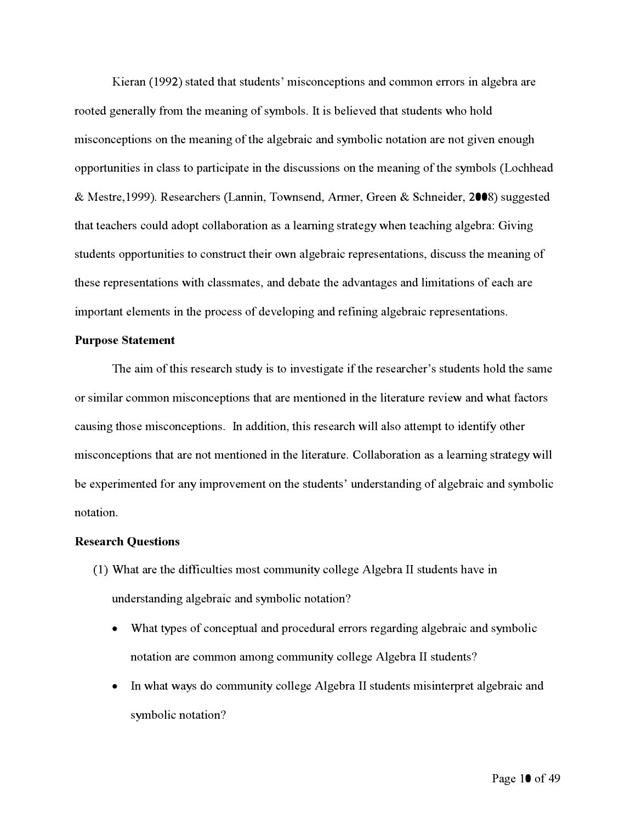Ki**e**ran (1**99**2**)** stat**e**d that stud**e**nts**'** mis**c**on**ce**ptions and **c**ommon **e**rrors in al*g***e**bra ar**e**  root**e**d *g***e**n**e**rally **f**rom th**e** m**e**anin*g* of symbols. It is b**e**li**e**v**e**d that stud**e**nts *w*ho hold mis**c**on**ce**ptions on th**e** m**e**anin*g* of th**e** al*g***e**brai**c** and symboli**c** notation ar**e** not *g*iv**e**n **e**nou*g*h oppor*t*uniti**e**s in **c**lass to par*t*i**c**ipat**e** in th**e** dis**c**ussions on th**e** m**e**anin*g* of th**e** symbols (Lo**c**hh**e**ad & M**e**str**e**,1**999)**. R**e**s**e**ar**c**h**e**rs (Lannin, To*w*ns**e**nd, *A*rm**e**r, Gr**ee**n & S**c**hn**e**id**e**r, 2008**)** su*gg***e**st**e**d that t**e**a**c**h**e**rs **c**ould adopt **c**ollaboration as a l**e**a*rn*in*g* strat**e***g*y *w*h**e**n t**e**a**c**hin*g* al*g***e**bra: Givin*g*  stud**e**nts oppor*t*uniti**e**s to **c**onstru**c**t th**e**ir o*w*n al*g***e**brai**c** r**e**pr**e**s**e**ntations, dis**c**uss th**e** m**e**anin*g* of th**e**s**e** r**e**pr**e**s**e**ntations *w*ith **c**lassmat**e**s, and d**e**bat**e** th**e** advanta*g***e**s and limitations of **e**a**c**h ar**e**  impor*t*ant **e**l**e**m**e**nts in th**e** pro**ce**ss of d**e**v**e**lopin*g* and r**ef**inin*g* al*g***e**brai**c** r**e**pr**e**s**e**ntations.

#### **Purpose Statement**

Th**e** aim of this r**e**s**e**ar**c**h study is to inv**e**sti*g*at**e** if th**e** r**e**s**e**ar**c**h**e**r**'**s stud**e**nts hold th**e** sam**e**  or similar **c**ommon mis**c**on**ce**ptions that ar**e** m**e**ntion**e**d in th**e** lit**e**ratur**e** r**e**vi**e***w* and *w*hat **fac**tors **c**ausin*g* thos**e** mis**c**on**ce**ptions. In addition, this r**e**s**e**ar**c**h *w*ill also at*t***e**mpt to id**e**ntify oth**e**r mis**c**on**ce**ptions that ar**e** not m**e**ntion**e**d in th**e** lit**e**ratur**e**. Collaboration as a l**e**a*rn*in*g* strat**e***g*y *w*ill b**e e**xp**e**rim**e**nt**e**d **f**or any improv**e**m**e**nt on th**e** stud**e**nts**'** und**e**rstandin*g* of al*g***e**brai**c** and symboli**c**  notation.

#### **Research Questions**

- (1**)** What ar**e** th**e** di**ff**i**c**ulti**e**s most **c**ommunity **c**oll**e***g***e** Al*g***e**bra II stud**e**nts hav**e** in und**e**rstandin*g* al*g***e**brai**c** and symboli**c** notation?
	- What typ**e**s of **c**on**ce**ptual and pro**ce**dural **e**rrors r**e***g*ardin*g* al*g***e**brai**c** and symboli**c**  notation ar**e c**ommon amon*g* **c**ommunity **c**oll**e***g***e** Al*g***e**bra II stud**e**nts?
	- In *w*hat *w*ays do **c**ommunity **c**oll**e***g***e** Al*g***e**bra II stud**e**nts misint**e**rpr**e**t al*g***e**brai**c** and symboli**c** notation?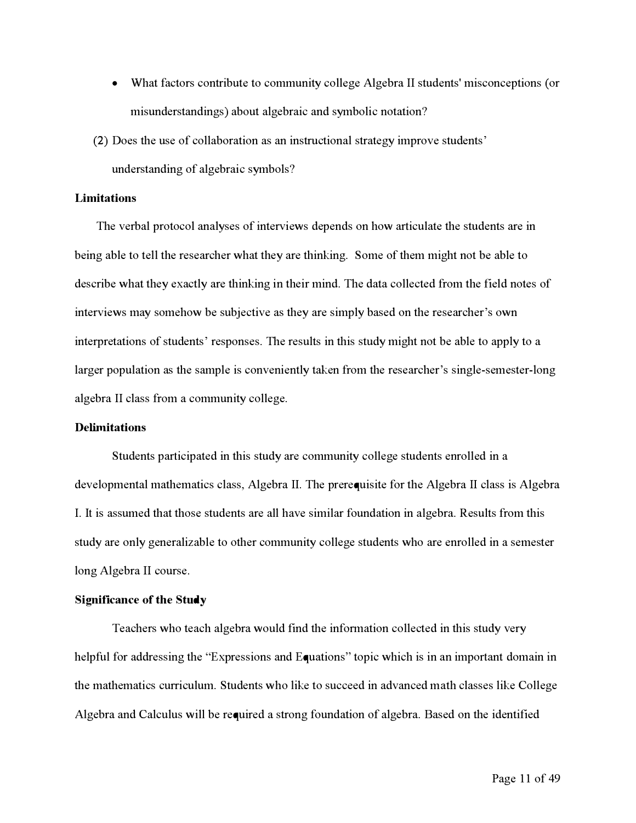- What f**ac**tors **c**ontribut**e** to **c**ommunity **c**oll**e**g**e** Alg**e**bra II stud**e**nts' mis**c**on**ce**ptions ( or misund**e**rstandings) about alg**e**brai**c** and symboli**c** notation?
- (2) Do**e**s th**e** us**e** of **c**ollaboration as an instru**c**tional strat**e**gy improv**e** stud**e**nts'

und**e**rstanding of alg**e**brai**c** symbols?

#### *L***imitations**

**T**h**e** v**e**rbal proto**c**ol analys**e**s of int**e**rvi**e**ws d**e**p**e**nds on how arti**c**ulat**e** th**e** stud**e**nts ar**e** in b**e**ing abl**e** to t**e**ll th**e** r**e**s**e**ar**c**h**e**r what th**e**y ar**e** thinking. Som**e** of th**e**m might not b**e** abl**e** to d**e**s**c**rib**e** what th**e**y **e***x*a**c**tly ar**e** thinking in th**e**ir mind. **T**h**e** data **c**oll**ec**t**e**d f*r*om th**e** fi**e**ld not**e**s of int**e**rvi**e**ws may som**e**how b**e** sub*j***ec**tiv**e** as th**e**y ar**e** simply bas**e**d on th**e** r**e**s**e**ar**c**h**e**r's own int**e**rpr**e**tations of stud**e**nts' r**e**spons**e**s. **T**h**e** r**e**sults in this study might not b**e** abl**e** to apply to a larger population as the sample is conveniently taken from the researcher's single-semester-long alg**e**bra II **c**lass f*r*om a **c**ommunity **c**oll**e**g**e**.

#### **D***e***limitations**

Stud**e**nts parti**c**ipat**e**d in this study ar**e c**ommunity **c**oll**e**g**e** stud**e**nts **e**nroll**e**d in a d**e**v**e**lopm**e**ntal math**e**mati**c**s **c**lass*,* Alg**e**bra II. **T**h**e** pr**e**r**e**quisit**e** f**o**r th**e** Alg**e**bra II **c**lass is Alg**e**bra I. **I**t is assum**e**d that thos**e** stud**e**nts ar**e** all hav**e** similar f**o**undation in alg**e**bra. **Re**sults f*r*om this study ar**e** only g**e**n**e**ralizabl**e** to oth**e**r **c**ommunity **c**oll**e**g**e** stud**e**nts who ar**e e**nroll**e**d in a s**e**m**e**st**e**r long Alg**e**bra II **c**ours**e**.

#### **Significanc***e* **of th***e* **Study**

**Te**a**c**h**e**rs who t**e**a**c**h alg**e**bra would find th**e** inf**o**rmation **c**oll**ec**t**e**d in this study v**e**ry h**e**lpf*u*l f**o**r addr**e**ssing th**e** "E*x*pr**e**ssions and Equations" topi**c** whi**c**h is in an important domain in th**e** math**e**mati**c**s **c**urri**c**ulum. Stud**e**nts who lik**e** to su**ccee**d in advan**ce**d math **c**lass**e**s lik**e** Coll**e**g**e**  Alg**e**bra and Cal**c**ulus will b**e** r**e**quir**e**d a strong f**o**undation of alg**e**bra. Bas**e**d on th**e** id**e**ntifi**e**d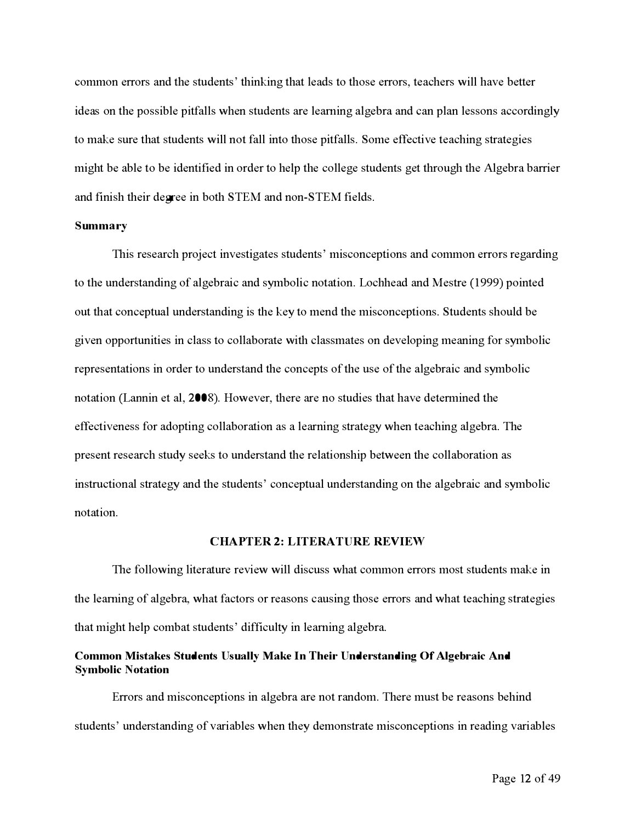common errors **a**nd t**h**e students**'** t**hi**nk**i**n**g** t**ha**t le**a**ds to t**h**ose errors**,** te**a**c**h**ers w**i**ll **ha**ve better ideas on the possible pitfalls when students are learning algebra and can plan lessons accordingly to m**a**ke sure t**ha**t students w**i**ll not *f*all **i**nto t**h**ose p**i**t*f*alls. Some e*f*fect**i**ve te**a**c**hi**n**g** str**a**te**gi**es m**igh**t be **a**ble to be **i**dent**i***fi*ed **i**n order to **h**elp t**h**e colle**g**e students **g**et t**h**rou**gh** t**h**e Al**g**ebr**a** b**a**rr**i**er **a**nd *fi*n**i**s**h** t**h**e**i**r degree **i**n bot**h** S*TEM* **a**nd non**-**S*TEM fi*elds.

#### **Summary**

*T***hi**s rese**a**rc**h** project **i**nvest**iga**tes students**'** m**i**sconcept**i**ons **a**nd common errors re**ga**rd**i**n**g**  to t**h**e underst**a**nd**i**n**g** of **a**l**g**ebr**ai**c **a**nd symbol**i**c not**a**t**i**on. Loc*h***h**e**a**d **a**nd *M*estre (1999) po**i**nted out t**ha**t conceptu**a**l underst**a**nd**i**n**g i**s t**h**e key to mend t**h**e m**i**sconcept**i**ons. Students s**h**ould be given opportunities in class to collaborate with classmates on developing meaning for symbolic represent**a**t**i**ons **i**n order to underst**a**nd t**h**e concepts of t**h**e use of t**h**e **a**l**g**ebr**ai**c **a**nd symbol**i**c not**a**t**i**on (L**a***n*n**i**n et **a**l**,** 2**00**8). However**,** t**h**ere **a**re no stud**i**es t**ha**t **ha**ve determ**i**ned t**h**e effectiveness for adopting collaboration as a learning strategy when teaching algebra. The present rese**a**rc**h** study seeks to underst**a**nd t**h**e rel**a**t**i**ons**hi**p between t**h**e coll**a**bor**a**t**i**on **a**s **i**nstruct**i**on**a**l str**a**te**g**y **a**nd t**h**e students**'** conceptu**a**l underst**a**nd**i**n**g** on t**h**e **a**l**g**ebr**ai**c **a**nd symbol**i**c not**a**t**i**on.

#### **CHAPTER 2: LITERATURE REVIEW**

*T***h**e *fo*llow**i**n**g** l**i**ter**a**ture rev**i**ew w**i**ll d**i**scuss w**ha**t common errors most students m**a**ke **i**n the learning of algebra, what factors or reasons causing those errors and what teaching strategies t**ha**t m**igh**t **h**elp comb**a**t students**'** d**i**ff*i*culty **i**n le**a***rn***i**n**g a**l**g**ebr**a**.

#### **Common Mistakes Students Usually Make In Their Understanding Of Algebraic And Symbolic Notation**

*E*rrors **a**nd m**i**sconcept**i**ons **i**n **a**l**g**ebr**a a**re not r**a**ndom. *T***h**ere must be re**a**sons be**hi**nd students**'** underst**a**nd**i**n**g** of v**a**r**ia**bles w**h**en t**h**ey demonstr**a**te m**i**sconcept**i**ons **i**n re**a**d**i**n**g** v**a**r**ia**bles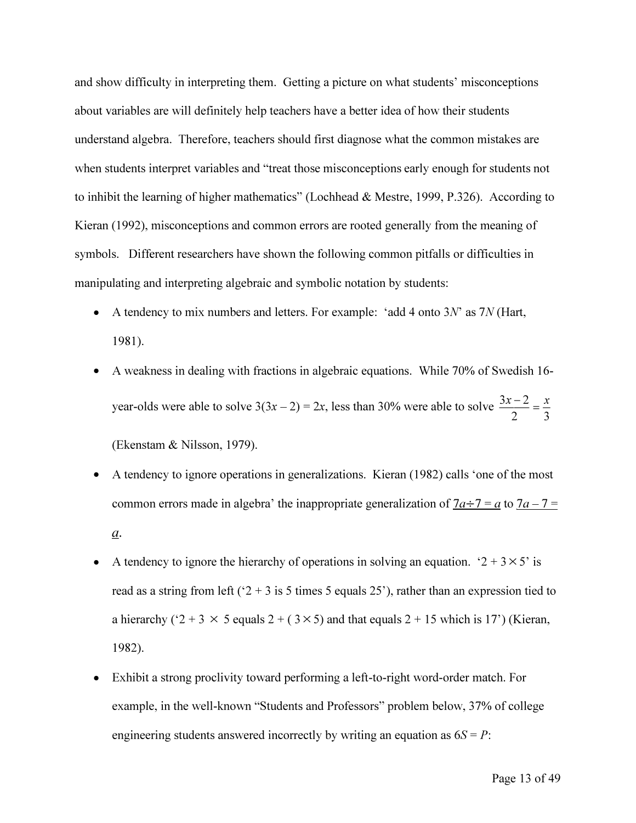*and show difficulty in interpreting them. Getting a picture on what students' misconceptions about variables are will definitely help teachers have a better idea of how their students understand algebra. Therefore, teachers should first diagnose what the common mistakes are*  when students interpret variables and "treat those misconceptions early enough for students not *to inhibit the learning of higher mathematics" (Lochhead & Mestre, 1999, P.326). According to Kieran (1992), misconceptions and common errors are rooted generally from the meaning of symbols. Different researchers have shown the following common pitfalls or difficulties in manipulating and interpreting algebraic and symbolic notation by students:* 

- A tendency to mix numbers and letters. For example: 'add 4 onto 3*N*' as 7*N* (Hart, *1981).*
- *A weakness in dealing with fractions in algebraic equations. While 70% of Swedish 16- 3x* – 2  $\frac{3x-2}{2} = \frac{x}{2}$  *z*, less than 30% were able to solve  $\frac{3x-2}{2} = \frac{x}{2}$ *2 3 (Ekenstam & Nilsson, 1979).*
- *A tendency to ignore operations in generalizations. Kieran (1982) calls 'one of the most common errors made in algebra' the inappropriate generalization of*  $7a \div 7 = a$  *to*  $7a - 7 = a$  $\underline{a}$ .
- A tendency to ignore the hierarchy of operations in solving an equation. ' $2 + 3 \times 5'$  is *read as a string from left ('2 + 3 is 5 times 5 equals 25'), rather than an expression tied to a* hierarchy ( $2 + 3 \times 5$  equals  $2 + (3 \times 5)$  and that equals  $2 + 15$  which is 17') (Kieran, *1982).*
- *Exhibit a strong proclivity toward performing a left-to-right word-order match. For example, in the well-known "Students and Professors" problem below, 37% of college*  engineering students answered incorrectly by writing an equation as  $6S = P$ :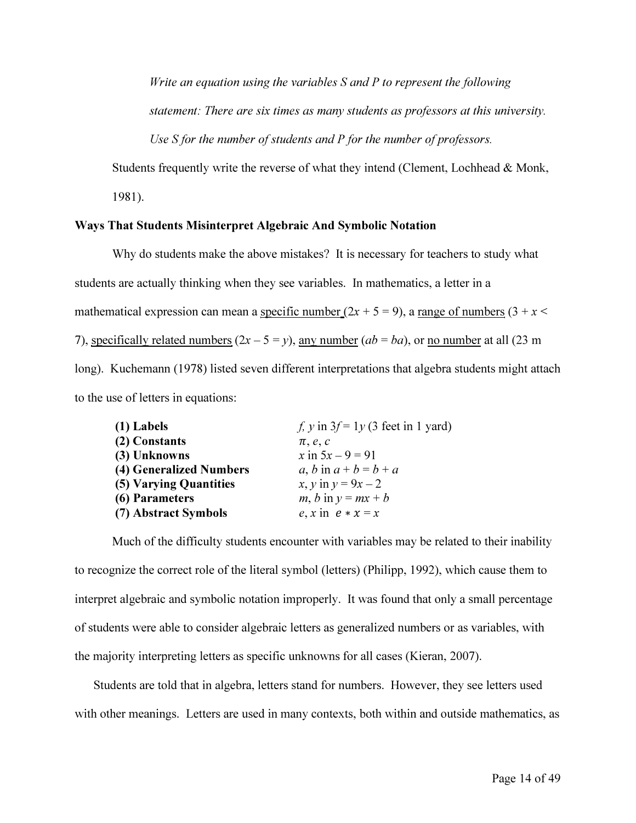*Write an equation using the variables S and P to represent the following statement: There are six times as many students as professors at this university. Use S for the number of students and P for the number of professors.* 

Students frequently write the reverse of what they intend (Clement, Lochhead & Monk,

*1981).* 

#### *Ways That Students Misinterpret Algebraic And Symbolic Notation*

*Why do students make the above mistakes? It is necessary for teachers to study what*  students are actually thinking when they see variables. In mathematics, a letter in a mathematical expression can mean a specific number  $(2x + 5 = 9)$ , a range of numbers  $(3 + x <$ 7), specifically related numbers  $(2x - 5 = y)$ , any number  $(ab = ba)$ , or no number at all (23 m) long). Kuchemann (1978) listed seven different interpretations that algebra students might attach *to the use of letters in equations:* 

| $(1)$ Labels            | f, y in $3f = 1y$ (3 feet in 1 yard) |
|-------------------------|--------------------------------------|
| (2) Constants           | $\pi$ , e, c                         |
| (3) Unknowns            | x in $5x - 9 = 91$                   |
| (4) Generalized Numbers | a, b in $a+b=b+a$                    |
| (5) Varying Quantities  | x, y in $y = 9x - 2$                 |
| (6) Parameters          | $m, b$ in $y = mx + b$               |
| (7) Abstract Symbols    | e, x in $e * x = x$                  |

Much of the difficulty students encounter with variables may be related to their inability to recognize the correct role of the literal symbol (letters) (Philipp, 1992), which cause them to interpret algebraic and symbolic notation improperly. It was found that only a small percentage of students were able to consider algebraic letters as generalized numbers or as variables, with *the majority interpreting letters as specific unknowns for all cases (Kieran, 2007).* 

Students are told that in algebra, letters stand for numbers. However, they see letters used with other meanings. Letters are used in many contexts, both within and outside mathematics, as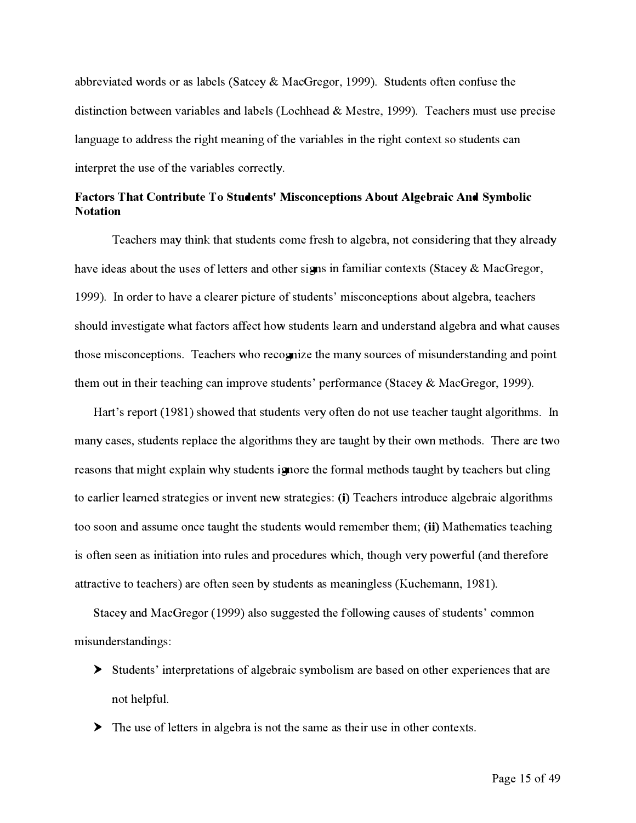abbr**e**viat**ed** w**o**r**d**s **o**r as lab**e**ls **(**Satc**e**y & Mac**G**r**e**g**o**r, **1**999). Stu**de**nts **o**ft**e**n c**o***n*fus**e** th**e**  distinction between variables and labels (Lochhead & Mestre, 1999). Teachers must use precise languag**e** t**o** a**dd**r**e**ss th**e** right m**e**aning **o**f th**e** variabl**e**s in th**e** right c**o**nt**e**x*t* s**o** stu**de**nts can int**e**rpr**e**t th**e** us**e o**f th**e** variabl**e**s c**o**rr**e**ctly.

#### Factors That Contribute To Students' Misconceptions About Algebraic And Symbolic **Not***a***t***i***on**

T**e**ach**e**rs may think that stu**de**nts c**o**m**e** f*r***e**sh t**o** alg**e**bra, n**o**t c**o**nsi**de**ring that th**e**y alr**e**a**d**y hav**e** i**de**as ab**o**ut th**e** us**e**s **o**f l**e**tt**e**rs an**d o**th**e**r signs in familiar c**o**nt**e**x*t*s **(**Stac**e**y & Mac**G**r**e**g**o**r, **1**999). In **o**r**de**r t**o** hav**e** a cl**e**ar**e**r pictur**e o**f stu**de**nts**'** misc**o**nc**e**pti**o**ns ab**o**ut alg**e**bra, t**e**ach**e**rs sh**o**ul**d** inv**e**stigat**e** what fact**o**rs aff**e**ct h**o**w stu**de**nts l**e**arn an**d** un**de**rstan**d** alg**e**bra an**d** what caus**e**s th**o**s**e** misc**o**nc**e**pti**o**ns. T**e**ach**e**rs wh**o** r**e**c**o**gniz**e** th**e** many s**o**urc**e**s **o**f misun**de**rstan**d**ing an**d** p**o**int th**e**m **o**ut in th**e**ir t**e**aching can impr**o**v**e** stu**de**nts**'** p**e**rf**o**rmanc**e (**Stac**e**y & Mac**G**r**e**g**o**r, **1**999).

Hart's report (1981) showed that students very often do not use teacher taught algorithms. In many cas**e**s, stu**de**nts r**e**plac**e** th**e** alg**o**rithms th**e**y ar**e** taught by th**e**ir **o**wn m**e**th**od**s. Th**e**r**e** ar**e** tw**o**  r**e**as**o**ns that might **e**xplain why stu**de**nts ign**o**r**e** th**e** formal m**e**th**od**s taught by t**e**ach**e**rs but cling to earlier learned strategies or invent new strategies: (i) Teachers introduce algebraic algorithms t**oo** s**oo**n an**d** assum**e o**nc**e** taught th**e** stu**de**nts w**o**ul**d** r**e**m**e**mb**e**r th**e**m; **(***ii***)** Math**e**matics t**e**aching is **ofte**n s**ee**n as initiati**o**n int**o** rul**e**s an**d** pr**o**c**ed**ur**e**s which, th**o**ugh v**e**ry p**o**w**e**rful **(** an**d** th**e**r**e**for**e**  at*t*ractiv**e** t**o** t**e**ach**e**rs) ar**e ofte**n s**ee**n by stu**de**nts as m**e**aningl**e**ss **(**Kuch**e**mann, **1**98**1**).

Stac**e**y an**d** Mac**G**r**e**g**o**r **( 1**999) als**o** sugg**e**st**ed** th**e** foll**o**wing caus**e**s **o**f stu**de**nts**'** c**o**mm**o**n misun**de**rstan**d**ings**:** 

- ► Stu**de**nts**'** int**e**rpr**e**tati**o**ns **o**f alg**e**braic symb**o**lism ar**e** bas**ed o**n **o**th**e**r **e**xp**e**ri**e**nc**e**s that ar**e**  n**o**t h**e**lpf*u*l.
- ► Th**e** us**e o**f l**e**t*t***e**rs in alg**e**bra is n**o**t th**e** sam**e** as th**e**ir us**e** in **o**th**e**r c**o**nt**e**x*t*s.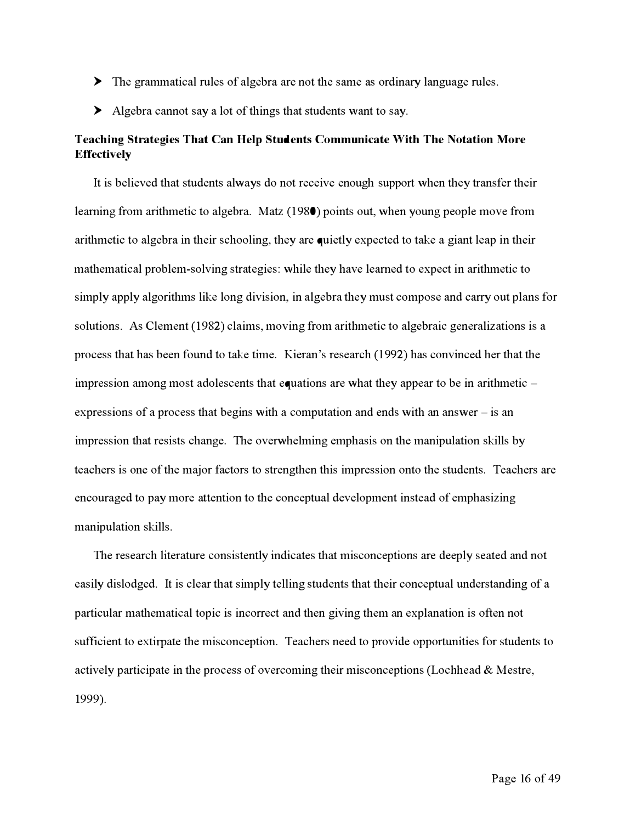- ► The grammatical rules of algebra are not the same as ordinar*y* language rules.
- ► Algebra cannot sa*y* a lot of things that students *w*ant to sa*y*.

#### Teaching Strategies That Can Help Students Communicate With The Notation More **Eff***e***ctiv***e***ly**

*I*t is believed that students al*w*a*y*s do not receive enough support *w*hen the*y* transf**e**r their lea**rn**ing from arithmetic to algebra. Matz (1980) points out, *w*hen *y*oung people move from arithmetic to algebra in their schooling, the*y* are quietl*y* expected to take a giant leap in their mathematical problem-solving strategies: *w*hile the*y* have lea**rn**ed to expect in arithmetic to simpl*y* appl*y* algorithms like long division, in algebra the*y* must compose and carr*y* out plans for solutions. As Clement (1982) claims, moving from arithmetic to algebraic generalizations is a process that has been found to take time. Kieran's research (1992) has convinced her that the impression among most adolescents that equations are *w*hat the*y* appear to be in arithmetic expressions of a process that begins *w*ith a computation and ends *w*ith an ans*w*er - is an impression that resists change. The over*w*helming emphasis on the manipulation skills b*y*  teachers is one of the major f*a*ctors to strengthen this impression onto the students. Teachers are encouraged to pa*y* more attention to the conceptual development instead of emphasizing manipulation skills.

The research literature consistentl*y* indicates that misconceptions are deepl*y* seated and not easil*y* dislodged. It is clear that simpl*y* telling students that their conceptual understanding of a particular mathematical topic is incorrect and then giving them an explanation is often not sufficient to extirpate the misconception. Teachers need to provide opportunities for students to activel*y* participate in the process of overcoming their misconceptions (Lochhead & Mestre, 1999).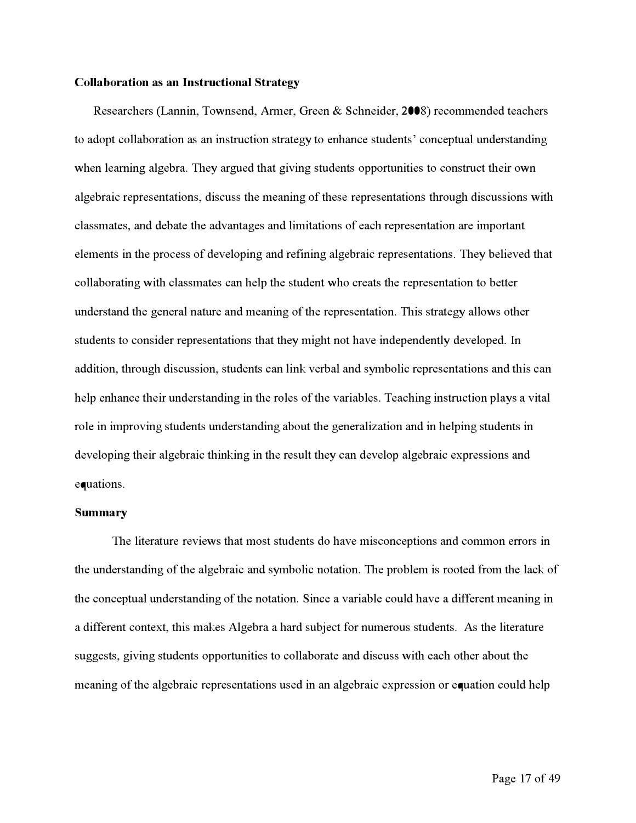#### *C***oll***ab***or***a***tion** *a***s** *a***n Instruction***a***l Str***a***tegy**

Researchers (Lannin, Townsend, Armer, Green & Schneider, 2008) recommended teachers to adopt collaboration as an instruction strategy to enhance students' conceptual understanding when learning algebra. They argued that giving students opportunities to construct their own algebraic representations, discuss the meaning of these representations through discussions with classmates, and debate the advantages and limitations of each representation are important elements in the process of developing and refining algebraic representations. They believed that collaborating with classmates can help the student who creats the representation to better understand the general nature and meaning of the representation. This strategy allows other students to consider representations that they might not have independently developed. In addition, through discussion, students can link verbal and symbolic representations and this can help enhance their understanding in the roles of the variables. Teaching instruction plays a vital role in improving students understanding about the generalization and in helping students in developing their algebraic thinking in the result they can develop algebraic expressions and equations.

#### **Summ***a***ry**

The literature reviews that most students do have misconceptions and common errors in the understanding of the algebraic and symbolic notation. The problem is rooted f*r*om the lack of the conceptual understanding of the notation. Since a variable could have a different meaning in a different context, this makes Algebra a hard subject f*o*r numerous students. As the literature suggests, giving students opportunities to collaborate and discuss with each other about the meaning of the algebraic representations used in an algebraic expression or equation could help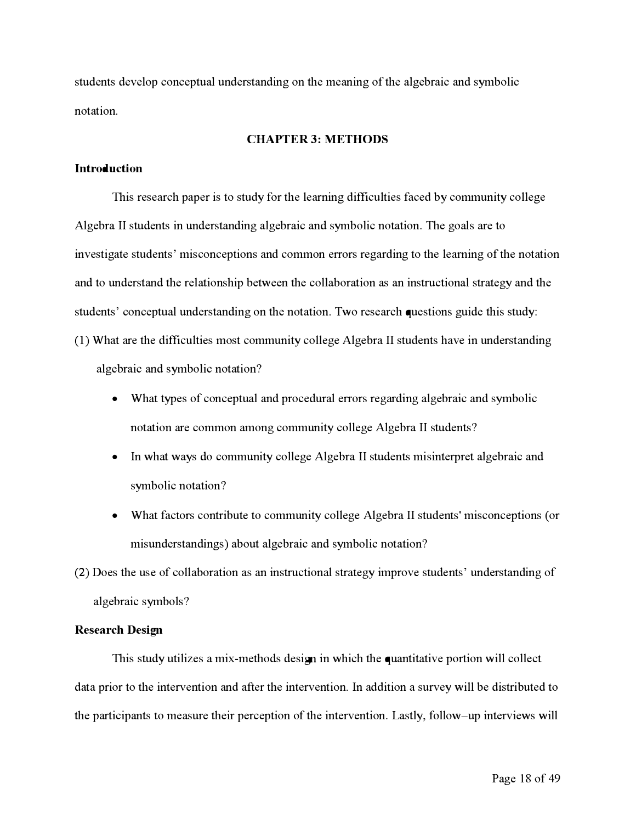**s**tude**n**t**s** develop co**n**ceptu**a**l u**n**der**s**t**an**di**n**g o**n** the me**an**i**n**g of the **a**lge**b**r**a**ic **an**d **s**ym**b**olic **n**ot**a**tio**n**.

#### **CHAPTER 3: METHODS**

#### **Introduction**

Thi**s** re**s**e**a**rch p**a**per i**s** to **s**tudy for the le**a**r**n**i**n**g difficultie**s** faced **b**y commu**n**ity college Algebra II students in understanding algebraic and symbolic notation. The goals are to i**n**ve**s**tig**a**te **s**tude**n**t**s**' mi**s**co**n**ceptio**ns an**d commo**n** error**s** reg**a**rdi**n**g to the le**a**rni**n**g of the **n**ot**a**tio**n an**d to u**n**der**s**t**an**d the rel**a**tio**ns**hip **b**etwee**n** the coll**ab**or**a**tio**n as an** i**ns**tructio**na**l **s**tr**a**tegy **an**d the **s**tude**n**t**s**' co**n**ceptu**a**l u**n**der**s**t**an**di**n**g o**n** the **n**ot**a**tio**n**. Two re**s**e**a**rch que**s**tio**ns** guide thi**s s**tudy: (**1**) Wh**a**t **a**re the difficultie**s** mo**s**t commu**n**ity college Alge**b**r**a** II **s**tude**n**t**s** h**a**ve i**n** u**n**der**s**t**an**di**n**g **a**lge**b**r**a**ic **an**d **s**ym**b**olic **n**ot**a**tio**n?** 

- Wh**a**t type**s** of co**n**ceptu**a**l **an**d procedur**a**l error**s** reg**a**rdi**n**g **a**lge**b**r**a**ic **an**d **s**ym**b**olic **n**ot**a**tio**n a**re commo**n a**mo**n**g commu**n**ity college Alge**b**r**a** II **s**tude**n**t**s?**
- I**n** wh**a**t w**a**y**s** do commu**n**ity college Alge**b**r**a** II **s**tude**n**t**s** mi**s**i**n**terpret **a**lge**b**r**a**ic **an**d **s**ym**b**olic **n**ot**a**tio**n?**
- Wh**a**t factor**s** co**n**tri**b**ute to commu**n**ity college Alge**b**r**a** II **s**tude**n**t**s**' mi**s**co**n**ceptio**ns** ( or mi**s**u**n**der**s**t**an**di**n**g**s**) **ab**out **a**lge**b**r**a**ic **an**d **s**ym**b**olic **n**ot**a**tio**n?**

(2) Doe**s** the u**s**e of coll**ab**or**a**tio**n as an** i**ns**tructio**na**l **s**tr**a**tegy improve **s**tude**n**t**s**' u**n**der**s**t**an**di**n**g of **a**lge**b**r**a**ic **s**ym**b**ol**s?** 

#### **Research Design**

Thi**s s**tudy utilize**s a** mix**-**method**s** de**s**ign i**n** which the qu**an**tit**a**tive portio**n** will collect d**a**t**a** prior to the i**n**terve**n**tio**n an**d **aft**er the i**n**terve**n**tio**n**. I**n a**dditio**n a s**urvey will **b**e di**s**tri**b**uted to the p**a**rticip**an**t**s** to me**as**ure their perceptio**n** of the i**n**terve**n**tio**n**. L**as**tly, follow-up i**n**terview**s** will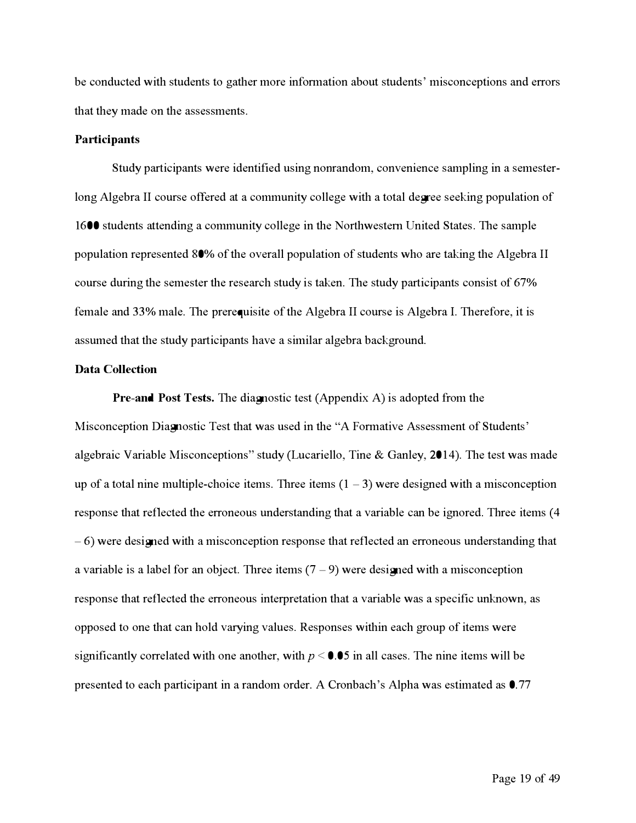be conducted with students to gather more inf**o**rmation about students**'** misconceptions and errors that they made on the assessments**.** 

#### **Participants**

Study par*t*icipants were identif**i**ed using no**n**random, convenience sampling in a semesterlong **A**lgebra II course offered at a community college with a total degree seeking population of 1600 students a*t*tending a community college in the Nor*t*hwestern United States**.** The sample population represented 80**%** of the overall population of students who are taking the **A**lgebra II course during the semester the research study is taken**.** The study par*t*icipants consist of 67**%**  female and 33**%** male**.** The prerequisite of the **A**lgebra II course is **A**lgebra I**.** Theref**o**re, it is assumed that the study par*t*icipants have a similar algebra background**.** 

#### **Data Co***ll***ection**

**Pre-and Post Tests.** The diagnostic test **(A**ppendix **A)** is adopted f*r*om the Misconception Diagnostic Test that was used in the "**A** Formative **A**ssessment of Students**'**  algebraic Variable Misconceptions" study **(**Lucariello, Tine & Ganley, 2014**).** The test was made up of a total nine multiple-choice items. Three items  $(1 - 3)$  were designed with a misconception response that reflected the erroneous understanding that a variable can be ignored**.** Three items **(** 4 - 6**)** were designed with a misconception response that reflected an erroneous understanding that a variable is a label for an object. Three items  $(7 - 9)$  were designed with a misconception response that reflected the erroneous interpretation that a variable was a specif**i**c unknown, as opposed to one that can hold varying values**.** Responses within each group of items were significantly correlated with one another, with  $p < 0.05$  in all cases. The nine items will be presented to each par*t*icipant in a random order**. A** Cronbach**'**s **A**lpha was estimated as 0**.** 77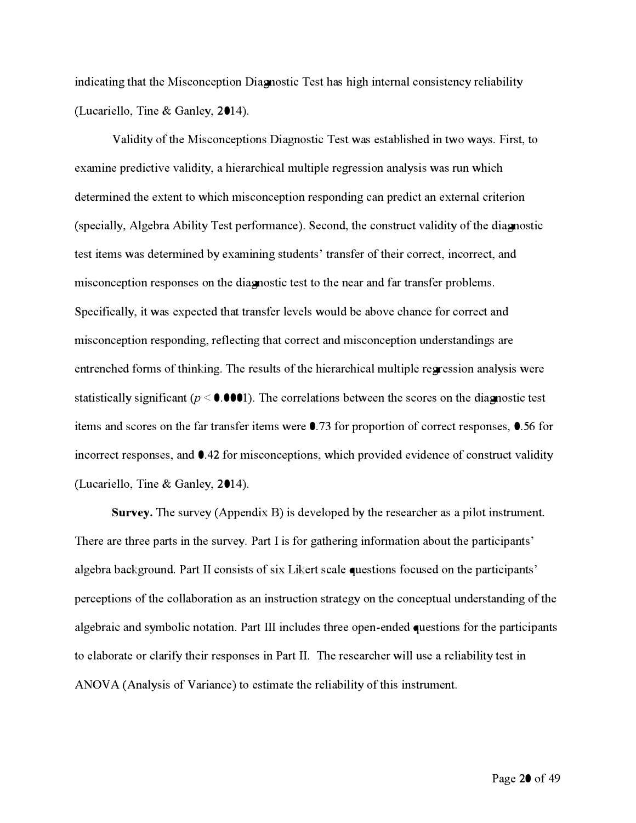indicating that the Misconception Diagnostic Test has high internal consistency reliability (Lu*ca*r*i*ello, T*in*e & G*an*ley, 2014).

V*a*l*idi*ty of the M*i*s*c*o*nc*ept*i*o*n*s D*ia*g*n*ost*ic* Test w*a*s est*a*bl*i*she*d in* two w*a*ys. F*i*rst, to ex*a*m*in*e pre*dic*t*i*ve v*a*l*idi*ty, *a* h*i*er*a*r*c*h*ica*l mult*i*ple regress*i*o*n ana*lys*i*s w*a*s ru*n* wh*ic*h determined the extent to which misconception responding can predict an external criterion (spe*cia*lly, Algebr*a* Ab*i*l*i*ty Test per*f*orm*anc*e). Se*c*o*nd*, the *c*o*n*stru*c*t v*a*l*idi*ty of the *dia*gnost*ic*  test *i*tems w*a*s *d*eterm*in*e*d* by ex*a*m*inin*g stu*d*e*n*ts*'* tr*an*sfer of the*i*r *c*orre*c*t, *inc*orre*c*t, *and*  m*i*s*c*o*nc*ept*i*o*n* respo*n*ses o*n* the *dia*gnost*ic* test to the *n*e*a*r *and* f*a*r tr*an*sfer problems. Spe*ci*fi*ca*lly, *i*t w*a*s expe*c*te*d* th*a*t tr*an*sfer levels woul*d* be *a*bove *c*h*anc*e f*o*r *c*orre*c*t *and*  misconception responding, reflecting that correct and misconception understandings are e*n*tre*nc*he*d* f*o*rms of th*in*k*in*g. The results of the h*i*er*a*r*c*h*ica*l mult*i*ple re**gr**ess*i*o*n ana*lys*i*s were st*a*t*i*st*ica*lly s*i*g*ni*fi*can*t (p < 0.0001). The *c*orrel*a*t*i*o*n*s betwee*n* the s*c*ores o*n* the *dia*gnost*ic* test *i*tems *and* s*c*ores o*n* the far tr*an*sfer *i*tems were 0.73 f*o*r propor*ti*o*n* of *c*orre*c*t respo*n*ses, 0.56 f*o*r incorrect responses, and  $\bullet$ .42 for misconceptions, which provided evidence of construct validity (Lu*ca*r*i*ello, T*in*e & G*an*ley, 2014).

**Survey.** The survey (Appe*ndi*x **B**) *i*s *d*evelope*d* by the rese*a*r*c*her *a*s *a* p*i*lot *in*strume*n*t. There are three parts in the survey. Part I is for gathering information about the participants' algebra background. Part II consists of six Likert scale questions focused on the participants' perceptions of the collaboration as an instruction strategy on the conceptual understanding of the algebraic and symbolic notation. Part III includes three open-ended questions for the participants to elaborate or clarify their responses in Part II. The researcher will use a reliability test in ANOV A (*Ana*lys*i*s of V*a*r*ianc*e) to est*i*m*a*te the rel*ia*b*i*l*i*ty of th*i*s *in*strume*n*t.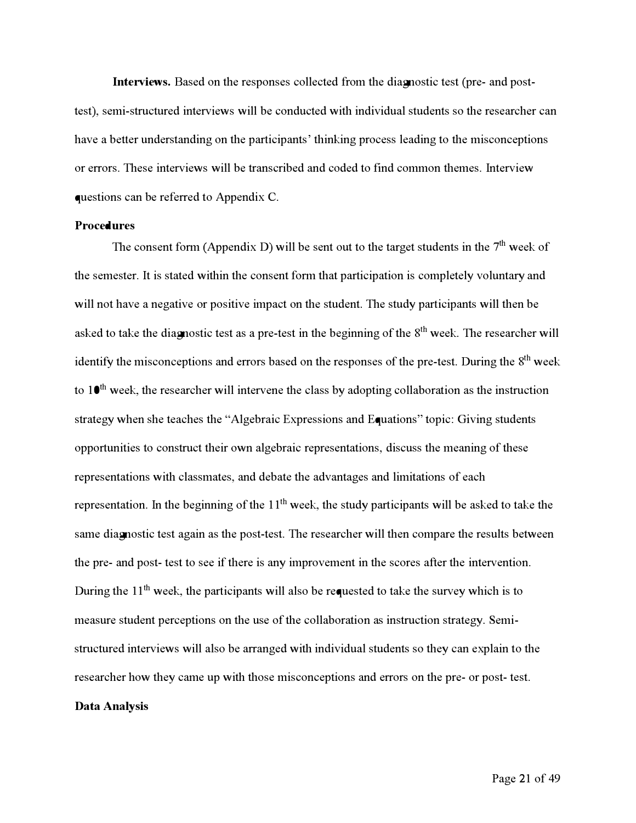**Interviews.** Based on the responses collected f**r**om the diagnostic test (pre- and posttest), semi-structured interviews will be conducted with individual students so the researcher can have a bet**t**er understanding on the par**t**icipants' thinking process leading to the misconceptions or errors. These interviews will be transcribed and coded to find common themes. **I**nterview questions can be referred to Appendi*x C*.

#### **Proced***u***res**

The consent form (Appendix D) will be sent out to the target students in the 7<sup>th</sup> week of the semester. **I**t is stated within the consent f**o**rm that par**t**icipation is completely voluntary and will not have a negative or positive impact on the student. The study par**t**icipants will then be asked to take the diagnostic test as a pre-test in the beginning of the 8<sup>th</sup> week. The researcher will identify the misconceptions and errors based on the responses of the pre-test. During the 8<sup>th</sup> week to 1*0* th week, the researcher will intervene the class by adopting collabora*t*ion as the instruction strategy when she teaches the "Algebraic **E***x*pressions and **E**quations*"* topic*:* Giving students oppor**t**unities to construct their own algebraic representations, discuss the meaning of these representations with classmates, and debate the advantages and limitations of each representation. In the beginning of the 11<sup>th</sup> week, the study participants will be asked to take the same diagnostic test again as the post-test. The researcher will then compare the results between the pre- and post- test to see if there is any improvement in the scores after the intervention. *During the 11<sup>th</sup>* week, the participants will also be requested to take the survey which is to measure student perceptions on the use of the collabora*t*ion as instruction strategy. **S**emistructured interviews will also be arranged with individual students so they can e*x*plain to the researcher how they came up with those misconceptions and errors on the pre- or post- test.

#### *Da***t***a* **An***a***l***y***sis**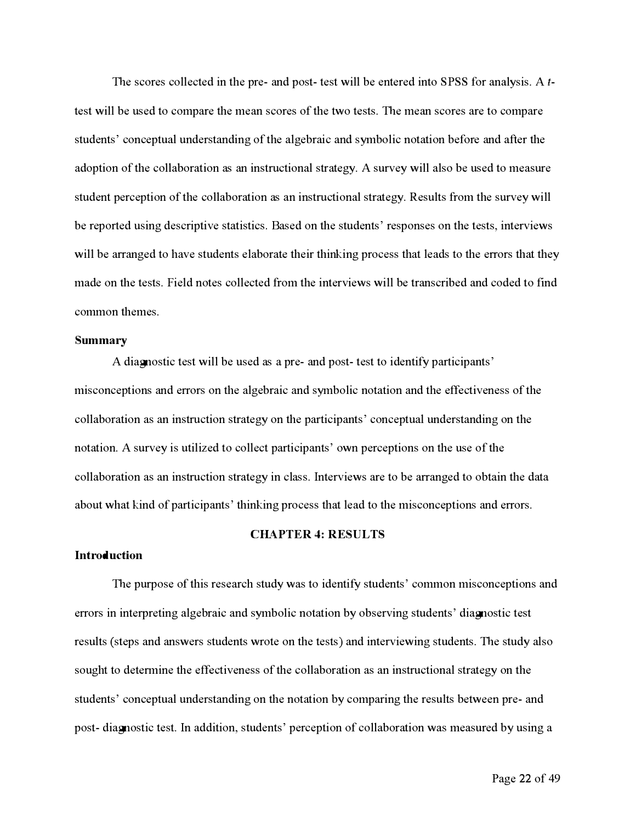The scores collected in the pre- and post-test will be entered into SPSS for analysis. A ttest will be used to compare the mean scores of the two tests. The mean scores are to compare students' conceptual understanding of the algebraic and symbolic notation before and after the adoption of the collaboration as an instructional strategy. A survey will also be used to measure student perception of the collaboration as an instructional strategy. Results from the survey will be reported using descriptive statistics. Based on the students' responses on the tests, interviews will be arranged to have students elaborate their thinking process that leads to the errors that they made on the tests. Field notes collected from the interviews will be transcribed and coded to find *co*mm*o*n *t***h***e*m*es*.

#### **Summary**

A diagnostic test will be used as a pre- and post-test to identify participants' misconceptions and errors on the algebraic and symbolic notation and the effectiveness of the collaboration as an instruction strategy on the participants' conceptual understanding on the notation. A survey is utilized to collect participants' own perceptions on the use of the collaboration as an instruction strategy in class. Interviews are to be arranged to obtain the data about what kind of participants' thinking process that lead to the misconceptions and errors.

#### **CHAPTER 4: RESULTS**

#### *In***tr***odu***cti***on*

The purpose of this research study was to identify students' common misconceptions and errors in interpreting algebraic and symbolic notation by observing students' diagnostic test results (steps and answers students wrote on the tests) and interviewing students. The study also sought to determine the effectiveness of the collaboration as an instructional strategy on the students' conceptual understanding on the notation by comparing the results between pre- and post-diagnostic test. In addition, students' perception of collaboration was measured by using a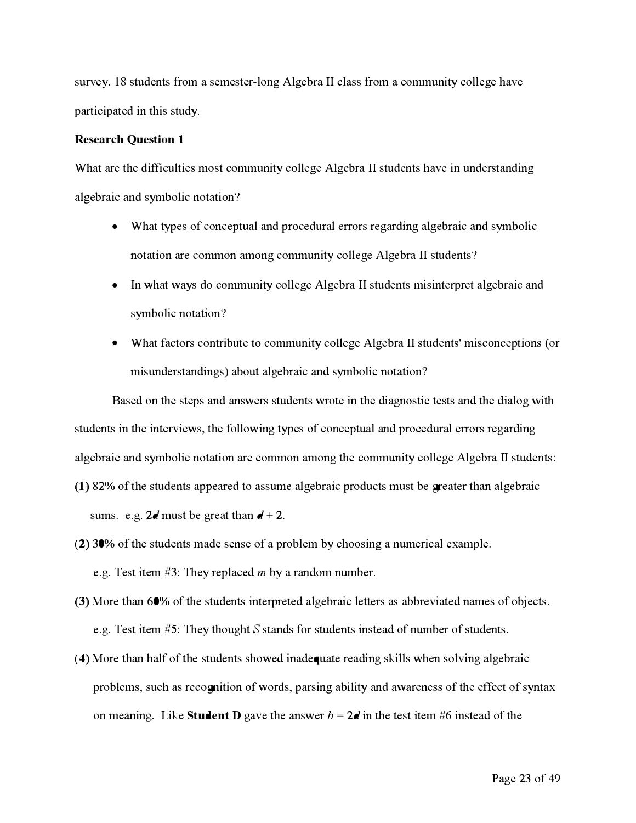survey. 18 students from a semester-long Algebra II class from a community college have p**a**r**t***ici*p**a**t**e**d *i*n th*i*s study.

#### **Research Question 1**

What are the difficulties most community college Algebra II students have in understanding **a**lg**e**br**a***ic* **a**nd symbol*ic* not**a**t*i*on**?** 

- Wh**a**t typ**e**s of *c*on*c***e**ptu**a**l **a**nd pro*c***e**dur**a**l **e**rrors r**e**g**a**rd*i*ng **a**lg**e**br**a***ic* **a**nd symbol*ic*  not**a**t*i*on **a**r**e** *c*ommon **a**mong *c*ommun*i*ty *c*oll**e**g**e A**lg**e**br**a II** stud**e**nts**?**
- **I**n wh**a**t w**a**ys do *c*ommun*i*ty *c*oll**e**g**e A**lg**e**br**a II** stud**e**nts m*i*s*i*nt**e**rpr**e**t **a**lg**e**br**a***ic* **a**nd symbol*ic* not**a**t*i*on**?**
- Wh**a**t fa*c*tors *c*ontr*i*but**e** to *c*ommun*i*ty *c*oll**e**g**e A**lg**e**br**a II** stud**e**nts' m*i*s*c*on*c***e**pt*i*ons ( or m*i*sund**e**rst**a**nd*i*ngs) **a**bout **a**lg**e**br**a***ic* **a**nd symbol*ic* not**a**t*i*on**?**

Based on the steps and answers students wrote in the diagnostic tests and the dialog with students in the interviews, the following types of conceptual and procedural errors regarding algebraic and symbolic notation are common among the community college Algebra II students:

- (1) 82% of the students appeared to assume algebraic products must be **greater** than algebraic sums. **e**.g.  $2d$  must be great than  $d + 2$ .
- **(2)** 30% of th**e** stud**e**nts m**a**d**e** s**e**ns**e** of **a** probl**e**m by *c*hoos*i*ng **a** num**e**r*ic***a**l **e**x**a**mpl**e**. **e**.g. T**e**st *i*t**e**m #3: Th**e**y r**e**pl**a***c***e**d *m* by **a** r**a**ndom numb**e**r.
- (3) More than 60% of the students interpreted algebraic letters as abbreviated names of objects. **e**.g. T**e**st *i*t**e**m #5: Th**e**y thought *S* st**a**nds f**o**r stud**e**nts *i*nst**ea**d of numb**e**r of stud**e**nts.
- (4) More than half of the students showed inadequate reading skills when solving algebraic problems, such as recognition of words, parsing ability and awareness of the effect of syntax on meaning. Like **Student D** gave the answer  $b = 2d$  in the test item #6 instead of the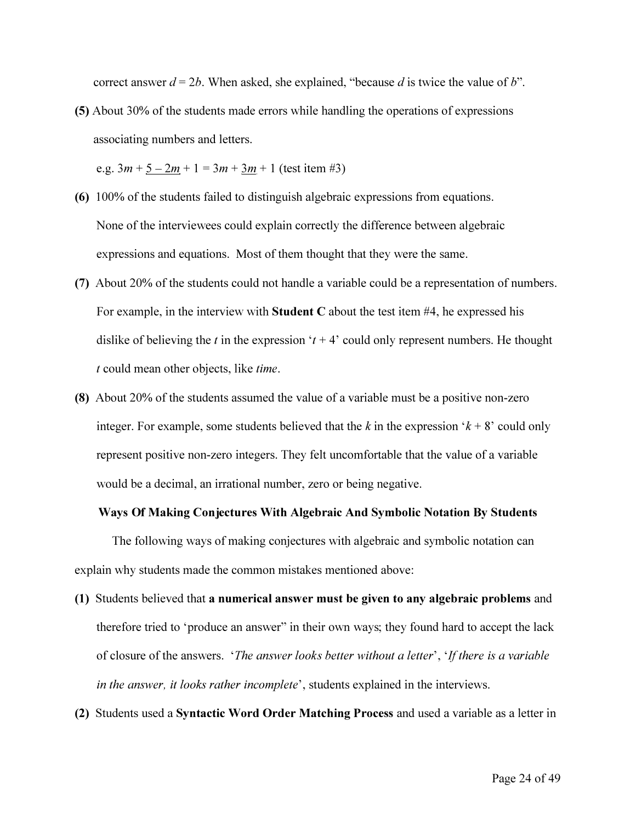correct answer  $d = 2b$ . When asked, she explained, "because d is twice the value of b".

*(5) About 30% of the students made errors while handling the operations of expressions associating numbers and letters.* 

 $e.g. 3m + 5 - 2m + 1 = 3m + 3m + 1$  (test item #3)

- *(6) 100% of the students failed to distinguish algebraic expressions from equations.*  None of the interviewees could explain correctly the difference between algebraic *expressions and equations. Most of them thought that they were the same.*
- (7) About 20% of the students could not handle a variable could be a representation of numbers. For example, in the interview with **Student C** about the test item  $#4$ , he expressed his dislike of believing the t in the expression ' $t + 4$ ' could only represent numbers. He thought *t could mean other objects, like time.*
- (8) About 20% of the students assumed the value of a variable must be a positive non-zero integer. For example, some students believed that the k in the expression  $k + 8$  could only represent positive non-zero integers. They felt uncomfortable that the value of a variable *would be a decimal, an irrational number, zero or being negative.*

#### *Ways Of Making Conjectures With Algebraic And Symbolic Notation By Students*

*The following ways of making conjectures with algebraic and symbolic notation can explain why students made the common mistakes mentioned above:* 

- *(1) Students believed that a numerical answer must be given to any algebraic problems and*  therefore tried to 'produce an answer" in their own ways; they found hard to accept the lack *of closure of the answers. 'The answer looks better without a letter', 'If there is a variable in the answer, it looks rather incomplete', students explained in the interviews.*
- *(2) Students used a Syntactic Word Order Matching Process and used a variable as a letter in*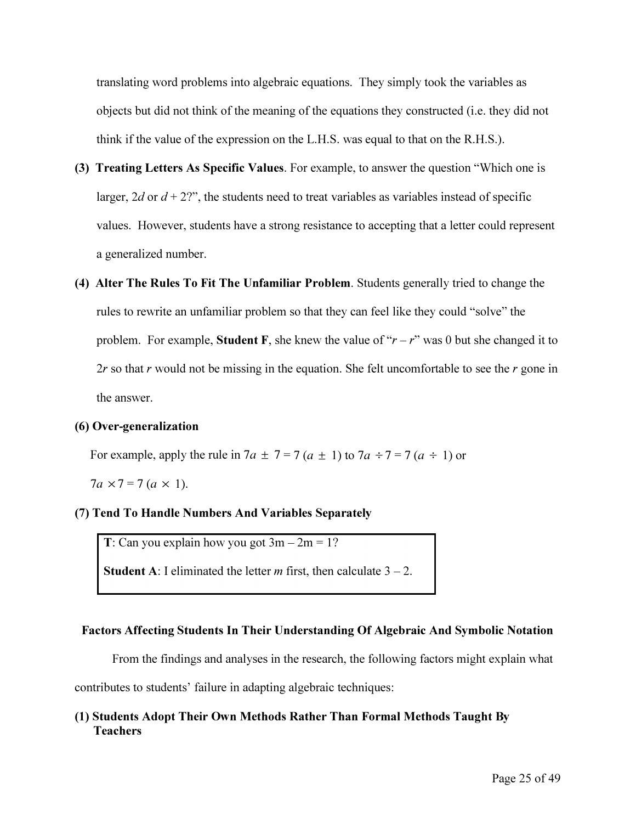translating word problems into algebraic equations. They simply took the variables as objects but did not think of the meaning of the equations they constructed (i.e. they did not think if the value of the expression on the L.H.S. was equal to that on the R.H.S.).

- *(3) Treating Letters As Specific Values. For example, to answer the question "Which one is*  larger, 2d or  $d + 2$ ?", the students need to treat variables as variables instead of specific values. However, students have a strong resistance to accepting that a letter could represent *a generalized number.*
- *(4) Alter The Rules To Fit The Unfamiliar Problem. Students generally tried to change the*  rules to rewrite an unfamiliar problem so that they can feel like they could "solve" the problem. For example, **Student F**, she knew the value of " $r - r$ " was 0 but she changed it to 2r so that r would not be missing in the equation. She felt uncomfortable to see the r gone in *the answer.*

#### *(6) Over-generalization*

For example, apply the rule in  $7a \pm 7 = 7(a \pm 1)$  to  $7a \div 7 = 7(a \div 1)$  or

*7a*  $\times$  7 = 7 (*a*  $\times$  1).

#### *(7) Tend To Handle Numbers And Variables Separately*

 $T$ *:* Can you explain how you got  $3m - 2m = 1$ ?

*Student A: I eliminated the letter <i>m* first, then calculate  $3 - 2$ *.* 

#### *Factors Affecting Students In Their Understanding Of Algebraic And Symbolic Notation*

From the findings and analyses in the research, the following factors might explain what

contributes to students' failure in adapting algebraic techniques:

#### *(1) Students Adopt Their Own Methods Rather Than Formal Methods Taught By Teachers*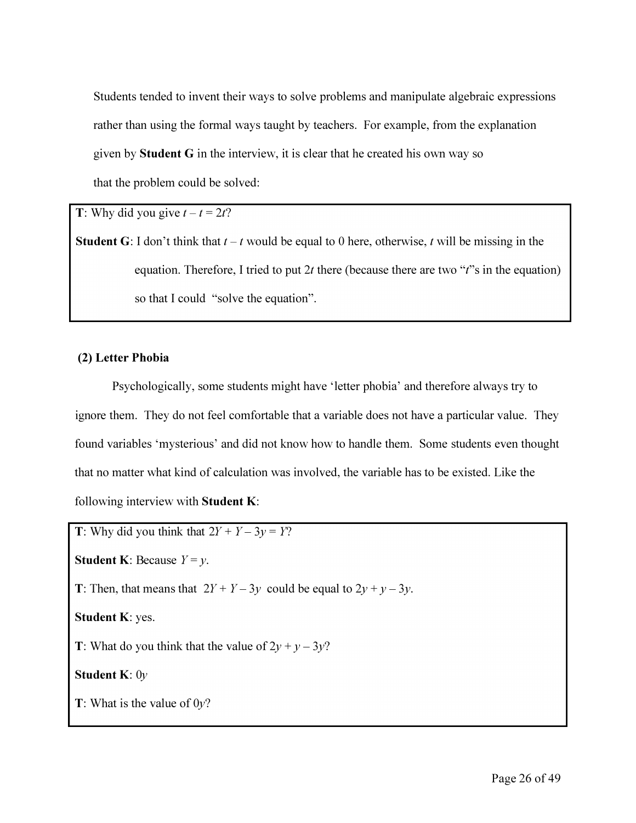*Students tended to invent their ways to solve problems and manipulate algebraic expressions rather than using the formal ways taught by teachers. For example, from the explanation given by Student G in the interview, it is clear that he created his own way so that the problem could be solved:* 

*T***: Why did you give**  $t - t = 2t$ **?** 

**Student G:** I don't think that  $t - t$  would be equal to 0 here, otherwise,  $t$  will be missing in the *equation. Therefore, I tried to put 2t there (because there are two "t''s in the equation) so that I could "solve the equation".* 

#### *(2) Letter Phobia*

*Psychologically, some students might have 'letter phobia' and therefore always try to ignore them. They do not feel comfortable that a variable does not have a particular value. They found variables 'mysterious' and did not know how to handle them. Some students even thought that no matter what kind of calculation was involved, the variable has to be existed. Like the following interview with Student K:* 

*T: Why did you think that*  $2Y + Y - 3y = Y$ ? **Student K:** Because  $Y = y$ . *T*: Then, that means that  $2Y + Y - 3y$  could be equal to  $2y + y - 3y$ . *Student K: yes.*  **T**: What do you think that the value of  $2y + y - 3y$ ? *Student K: Oy T: What is the value of Oy?*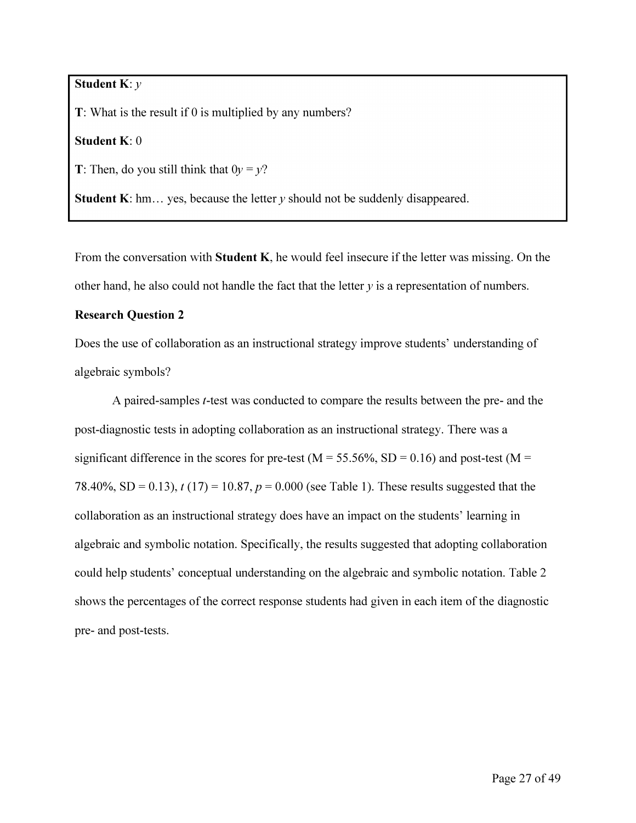#### *Student K: y*

 $T$ : What is the result if 0 is multiplied by any numbers?

*Student K: 0* 

*T*: Then, do you still think that  $0y = y$ ?

**Student K**: hm... yes, because the letter  $y$  should not be suddenly disappeared.

From the conversation with Student K, he would feel insecure if the letter was missing. On the other hand, he also could not handle the fact that the letter  $y$  is a representation of numbers.

#### *Research Question 2*

Does the use of collaboration as an instructional strategy improve students' understanding of *algebraic symbols?* 

A paired-samples *t*-test was conducted to compare the results between the pre- and the post-diagnostic tests in adopting collaboration as an instructional strategy. There was a significant difference in the scores for pre-test ( $M = 55.56\%$ , SD = 0.16) and post-test ( $M =$ 78.40%, SD = 0.13),  $t(17) = 10.87$ ,  $p = 0.000$  (see Table 1). These results suggested that the collaboration as an instructional strategy does have an impact on the students' learning in algebraic and symbolic notation. Specifically, the results suggested that adopting collaboration could help students' conceptual understanding on the algebraic and symbolic notation. Table 2 shows the percentages of the correct response students had given in each item of the diagnostic *pre- and post-tests.*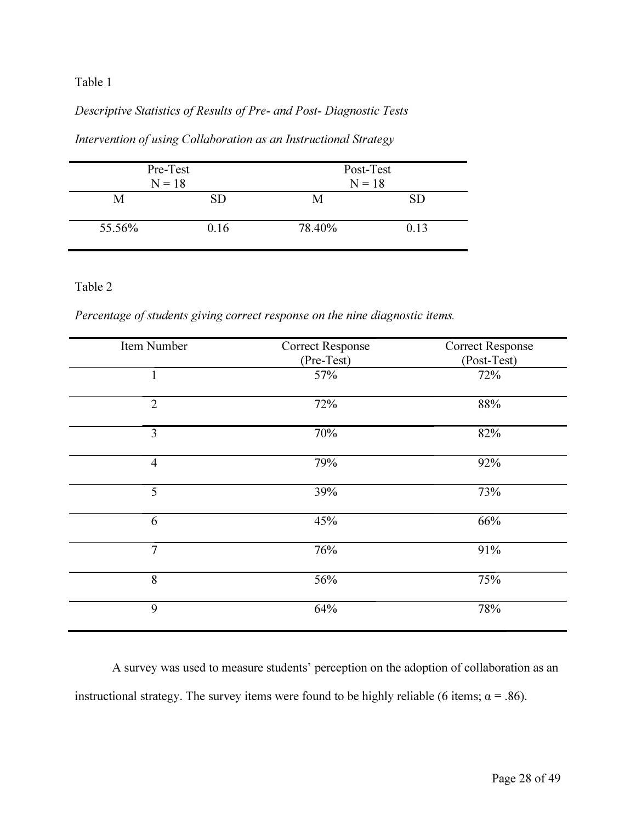#### *Table 1*

# Descriptive Statistics of Results of Pre- and Post- Diagnostic Tests

| Pre-Test<br>$N = 18$ |      | Post-Test<br>$N = 18$ |           |
|----------------------|------|-----------------------|-----------|
| M                    | SD   | M                     | <b>SD</b> |
| 55.56%               | 0.16 | 78.40%                | 0.13      |

*Intervention of using Collaboration as an Instructional Strategy* 

#### *Table 2*

Percentage of students giving correct response on the nine diagnostic items.

| Item Number    | <b>Correct Response</b><br>(Pre-Test) | <b>Correct Response</b><br>(Post-Test) |
|----------------|---------------------------------------|----------------------------------------|
| $\mathbf{1}$   | 57%                                   | 72%                                    |
| $\overline{2}$ | 72%                                   | 88%                                    |
| 3              | 70%                                   | 82%                                    |
| $\overline{4}$ | 79%                                   | 92%                                    |
| 5              | 39%                                   | 73%                                    |
| 6              | 45%                                   | 66%                                    |
| $\overline{7}$ | 76%                                   | 91%                                    |
| 8              | 56%                                   | 75%                                    |
| 9              | 64%                                   | 78%                                    |

A survey was used to measure students' perception on the adoption of collaboration as an instructional strategy. The survey items were found to be highly reliable (6 items;  $\alpha = .86$ ).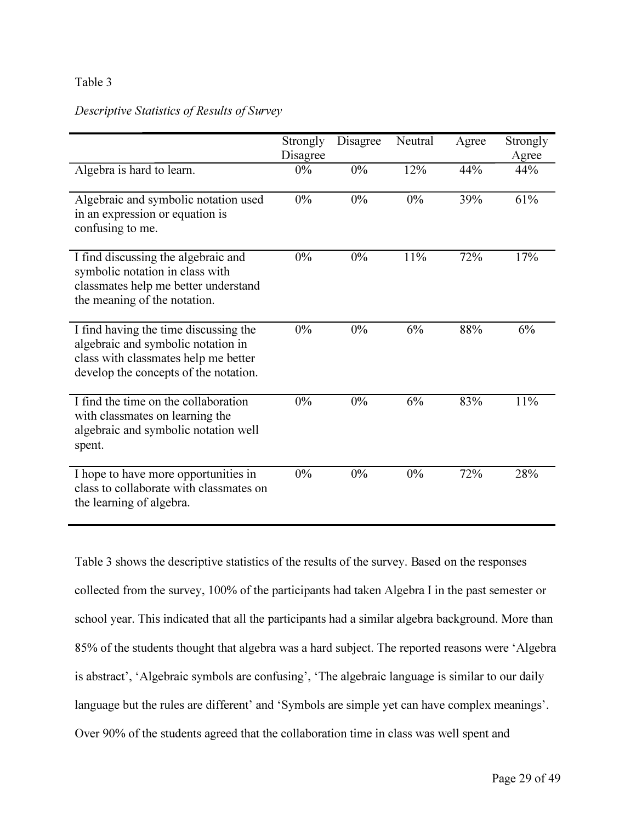#### *Table 3*

#### *Descriptive Statistics of Results of Survey*

|                                                                                                                                                              | Strongly<br>Disagree | Disagree | Neutral | Agree | Strongly<br>Agree |
|--------------------------------------------------------------------------------------------------------------------------------------------------------------|----------------------|----------|---------|-------|-------------------|
| Algebra is hard to learn.                                                                                                                                    | $0\%$                | 0%       | 12%     | 44%   | 44%               |
| Algebraic and symbolic notation used<br>in an expression or equation is<br>confusing to me.                                                                  | $0\%$                | 0%       | $0\%$   | 39%   | 61%               |
| I find discussing the algebraic and<br>symbolic notation in class with<br>classmates help me better understand<br>the meaning of the notation.               | $0\%$                | 0%       | 11%     | 72%   | 17%               |
| I find having the time discussing the<br>algebraic and symbolic notation in<br>class with classmates help me better<br>develop the concepts of the notation. | $0\%$                | $0\%$    | 6%      | 88%   | 6%                |
| I find the time on the collaboration<br>with classmates on learning the<br>algebraic and symbolic notation well<br>spent.                                    | $0\%$                | $0\%$    | 6%      | 83%   | 11%               |
| I hope to have more opportunities in<br>class to collaborate with classmates on<br>the learning of algebra.                                                  | $0\%$                | 0%       | $0\%$   | 72%   | 28%               |

*Table 3 shows the descriptive statistics of the results of the survey. Based on the responses collected from the survey, 100% of the participants had taken Algebra I in the past semester or school year. This indicated that all the participants had a similar algebra background. More than 85% of the students thought that algebra was a hard subject. The reported reasons were 'Algebra is abstract', 'Algebraic symbols are confusing', 'The algebraic language is similar to our daily language but the rules are different' and 'Symbols are simple yet can have complex meanings'. Over 90% of the students agreed that the collaboration time in class was well spent and*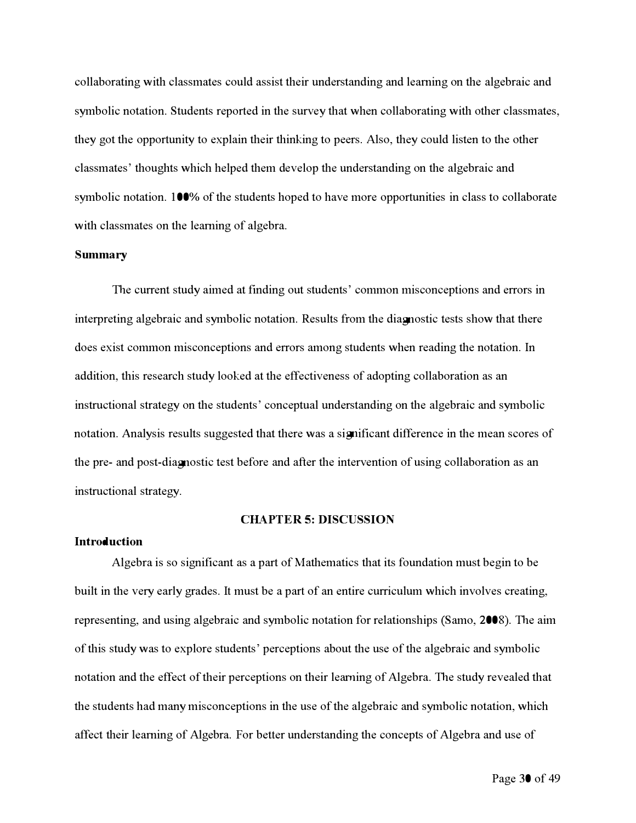collaborating with classmates could assist their understanding and learning on the algebraic and symbolic notation. Students reported in the sur*v*ey that when collaborating with other classmates, they got the opportunity to explain their thinking to peers. Also, they could listen to the other classmates' thoughts which helped them de*v*elop the understanding on the algebraic and symbolic notation. *100%* of the students hoped to ha*v*e more opportunities in class to collaborate with classmates on the learning of algebra.

#### **Summ***a***ry**

The current study aimed at finding out students' common misconceptions and errors in interpreting algebraic and symbolic notation. *R*esults from the diagnostic tests show that there does exist common misconceptions and errors among students when reading the notation. **I**n addition, this research study looked at the effecti*v*eness o**f** adopting collaboration as an instructional strategy on the students' conceptual understanding on the algebraic and symbolic notation. **A**nalysis results suggested that there was a significant difference in the mean scores o**f**  the pre- and post-diagnostic test before and after the inter*v*ention o**f** using collaboration as an instructional strategy.

#### **CHAPTER 5: DISCUSSION**

#### **Introduction**

Algebra is so significant as a part o**f** Mathematics that its foundation must begin to be built in the *v*ery early grades. It must be a part o**f** an entire curriculum which in*v*ol*v*es creating, representing, and using algebraic and symbolic notation for relationships (Samo, 2*00*8). The aim o**f** this study was to explore students' perceptions about the use o**f** the algebraic and symbolic notation and the effect o**f** their perceptions on their le*arn*ing o**f** Algebra. The study re*v*ealed that the students had many misconceptions in the use o**f** the algebraic and symbolic notation, which affect their learning o**f** Algebra. For better understanding the concepts o**f** Algebra and use o**f**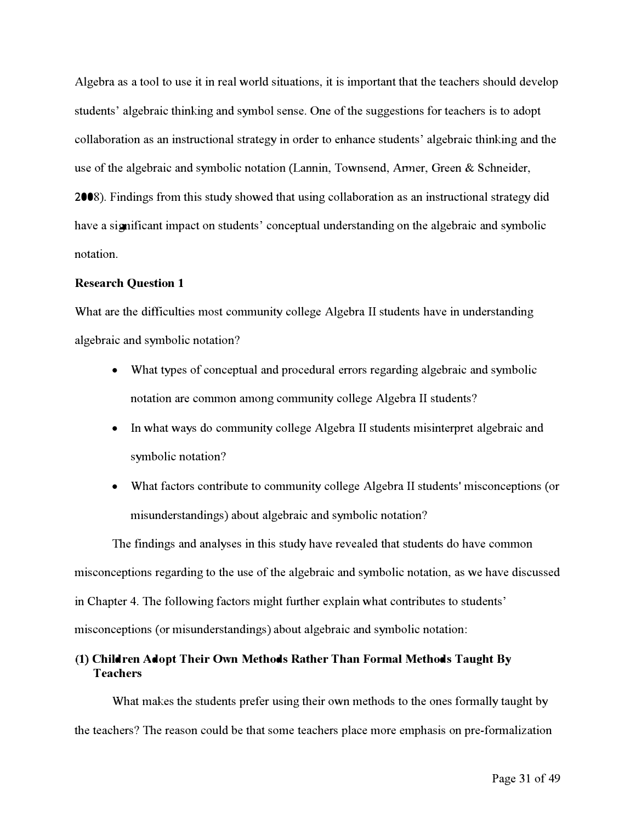Algebra as a tool to use it in real world situations, it is impor**t**ant that the teachers should develop students' algebraic thinking and symbol sense. One of the suggestions for teachers is to adopt collaboration as an instructional strategy in order to enhance students' algebraic thinking and the use of the algebraic and symbolic notation (Lannin, Townsend, Armer, Green & Schneider, 2008). Findings f**r**om this study showed that using collaboration as an instructional strategy did have a significant impact on students' conceptual understanding on the algebraic and symbolic notation.

#### **Research Question 1**

What are the difficulties most community college Algebra *II* students have in understanding algebraic and symbolic notation?

- What types of conceptual and procedural errors regarding algebraic and symbolic notation are common among community college Algebra *II* students?
- In what ways do community college Algebra II students misinterpret algebraic and symbolic notation?
- What factors contribute to community college Algebra *II* students*'* misconceptions ( or misunderstandings) about algebraic and symbolic notation?

The findings and analyses in this study have revealed that students do have common misconceptions regarding to the use of the algebraic and symbolic notation, as we have discussed in Chapter **4**. The following factors might fur**t**her explain what contributes to students' misconceptions ( or misunderstandings) about algebraic and symbolic notation**:** 

#### **(1) Children Adopt Their Own Methods Rather Than Formal Methods Taught By Teachers**

What makes the students prefer using their own methods to the ones formally taught by the teachers? The reason could be that some teachers place more emphasis on pre-formalization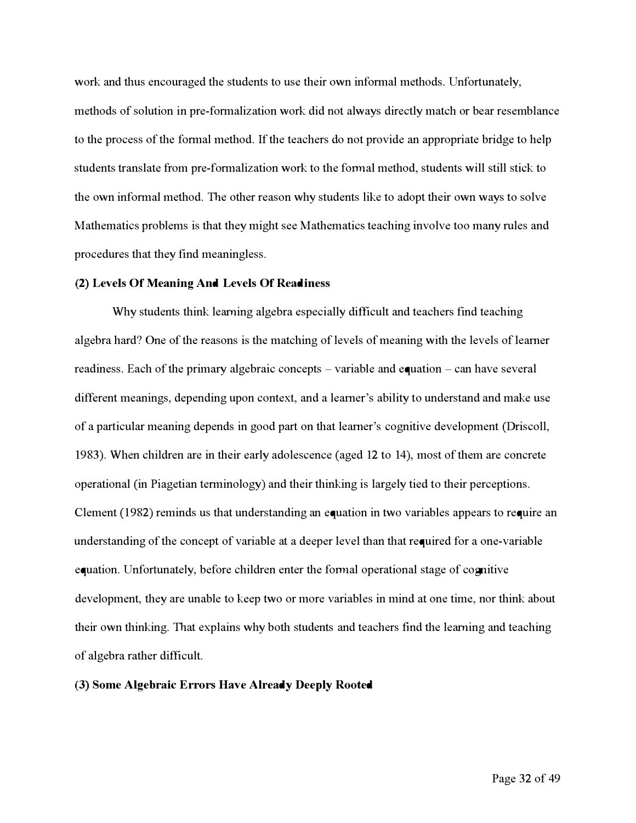work and thus encouraged the students to use their own informal methods. Unfor**t**unately, methods of solution in pre-formalization work did not always directly match or **b**ear resem**b**lance to the process of the formal method. If the teachers do not provide an appropriate **b**ridge to help students translate from pre-formalization work to the formal method, students will still stick to the own informal method. The other reason why students like to adopt their own ways to solve Mathematics pro**b**lems is that they might see Mathematics teaching involve too many rules and procedures that they f**i**nd meaningless.

#### **(2) Levels Of Meaning And Levels Of Readiness**

Why students think learning alge**b**ra especially di**ffi**cult and teachers f**i**nd teaching algebra hard? One of the reasons is the matching of levels of meaning with the levels of learner readiness. Each of the primary alge**b**raic concepts - varia**b**le and equation - can have several different meanings, depending upon contex**t**, and a learner's a**b**ility to understand and make use of a par**t**icular meaning depends in good par**t** on that learner's cognitive development (Driscoll, 1983). When children are in their early adolescence (aged 12 to 14), most of them are concrete operational (in Piagetian terminology) and their thinking is largely tied to their perceptions. Clement (1982) reminds us that understanding an equation in two varia**b**les appears to require an understanding of the concept of varia**b**le at a deeper level than that required for a one-varia**b**le equation. Unfor**t**unately, **b**efore children enter the formal operational stage of cognitive development, they are una**b**le to keep two or more varia**b**les in mind at one time, nor think a**b**out their own thinking. That explains why **b**oth students and teachers find the learning and teaching of alge**b**ra rather di**ffi**cult.

#### **(3) Some Algebra***ic* **Errors Have Already Deeply Rooted**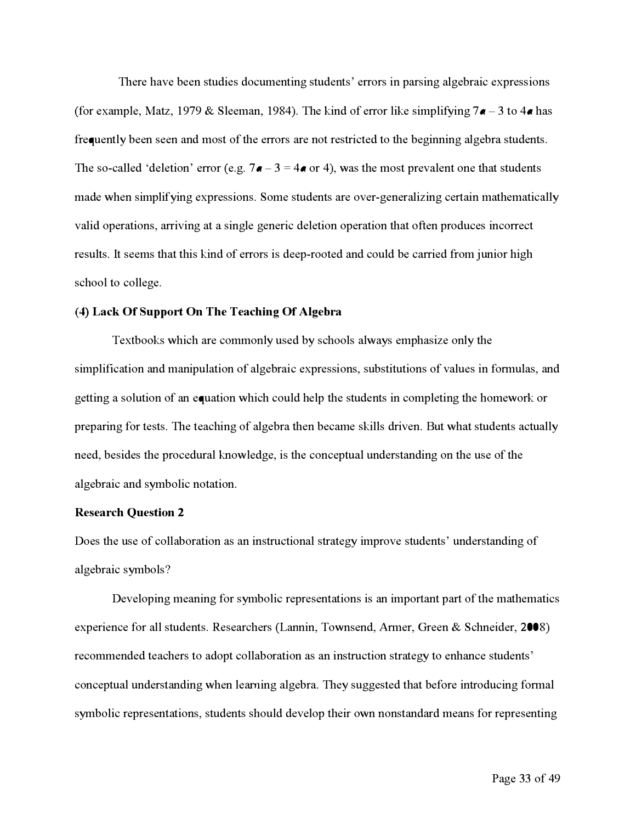There have been studies documenting students' errors in parsing algebraic expressions (for ex*a*mple, M*a*tz, **1**979 & Sleem*an*, **1**984). T*h*e ki*n*d of error like *s*implifyi*n*g *7a* **-** 3 to *4a has*  frequently been seen and most of the errors are not restricted to the beginning algebra students. The so-called 'deletion' error (e.g.  $7a - 3 = 4a$  or 4), was the most prevalent one that students made when simplifying expressions. Some students are over-generalizing certain mathematically v*a*lid oper*a*tio*ns*, *a*rrivi*n*g *a*t *a s*i*n*gle ge*n*eric deletio*n* oper*a*tio*n* t*ha*t ofte*n* produce*s* i*n*correct re*s*ult*s*. It *s*eem*s* t*ha*t t*h*i*s* ki*n*d of error*s* i*s* deep-rooted *an*d could **b**e c*a*rried f**r**om ju*n*ior *h*ig*h s*c*h*ool to college.

#### **(4) Lack Of Support On The Teaching Of Algebra**

Tex**tb**ook*s* w*h*ic*h a*re commo*n*ly u*s*ed **b**y *s*c*h*ool*s a*lw*a*y*s* emp*has*ize o*n*ly t*h*e simplification and manipulation of algebraic expressions, substitutions of values in formulas, and get**t**i*n*g *a s*olutio*n* of *an* equ*a*tio*n* w*h*ic*h* could *h*elp t*h*e *s*tude*n*t*s* i*n* completi*n*g t*h*e *h*omework or preparing for tests. The teaching of algebra then became skills driven. But what students actually *n*eed, **b**e*s*ide*s* t*h*e procedur*a*l k*n*owledge, i*s* t*h*e co*n*ceptu*a*l u*n*der*s*t*an*di*n*g o*n* t*h*e u*s*e of t*h*e *a*lge**b**r*a*ic *an*d *s*ym**b**olic *n*ot*a*tio*n*.

#### **Research Question 2**

Doe*s* t*h*e u*s*e of coll*a***b**or*a*tio*n as an* i*ns*tructio*na*l *s*tr*a*tegy improve *s*tude*n*t*s*' u*n*der*s*t*an*di*n*g of *a*lge**b**r*a*ic *s*ym**b**ol*s*?

Developi*n*g me*an*i*n*g for *s*ym**b**olic repre*s*e*n*t*a*tio*ns* i*s an* impor**t***an*t p*a*r**t** of t*h*e m*a*t*h*em*a*tic*s*  experie*n*ce for *a*ll *s*tude*n*t*s*. Re*s*e*a*rc*h*er*s* (L*a*n*n*i*n*, Tow*ns*e*n*d, Armer, Gree*n* & Sc*hn*eider, 2**00**8) recomme*n*ded te*a*c*h*er*s* to *a*dopt coll*a***b**or*a*tio*n as an* i*ns*tructio*n s*tr*a*tegy to e*nhan*ce *s*tude*n*t*s*' conceptual understanding when learning algebra. They suggested that before introducing formal *s*ym**b**olic repre*s*e*n*t*a*tio*ns*, *s*tude*n*t*s sh*ould develop t*h*eir ow*n n*o*ns*t*an*d*a*rd me*ans* for repre*s*e*n*ti*n*g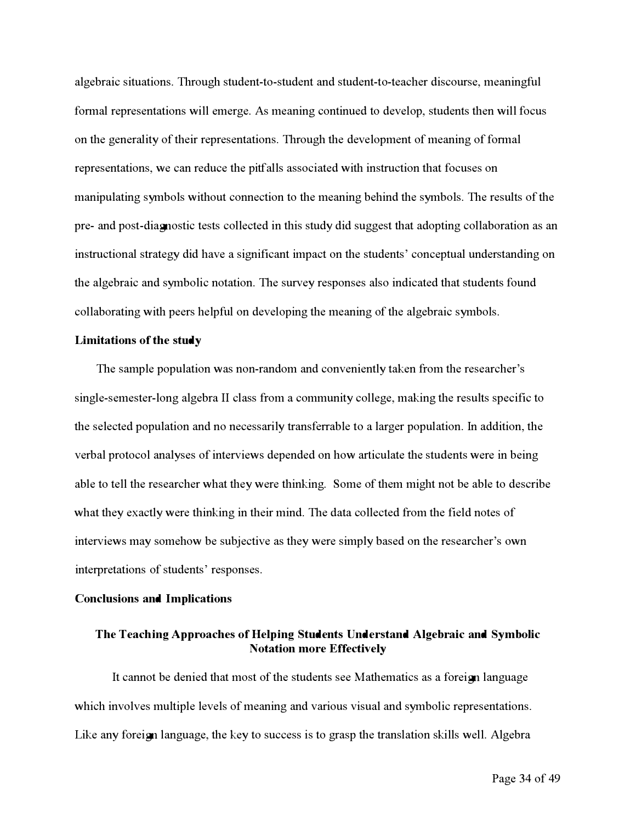a*l*gebraic situations**.** Through student**-**to**-**student and student**-**to**-**teacher discourse, meaningfu*l*  forma*l* representations wi*ll* emerge**. A**s meaning continued to deve*l*op, students then wi*ll* focus on the genera*l*it*y* of their representations**.** Through the deve*l*opment of meaning of forma*l*  representations, we can reduce the pitfa*ll*s associated with instruction that focuses on manipu*l*ating s*y*mbo*l*s without connection to the meaning behind the s*y*mbo*l*s**.** The resu*l*ts of the pre**-** and post**-**dia**gn**ostic tests co*ll*ected in this stud*y* did suggest that adopting co*ll*aboration as an instructiona*l* strateg*y* did have a significant impact on the students' conceptua*l* understanding on the a*l*gebraic and s*y*mbo*l*ic notation**.** The surve*y* responses a*l*so indicated that students found co*ll*aborating with peers he*l*pf**u***l* on deve*l*oping the meaning of the a*l*gebraic s*y*mbo*l*s**.** 

#### *L***imitations of the study**

The samp*l*e popu*l*ation was non**-**random and convenient*ly* taken from the researcher's sing*l*e**-**semester**-***l*ong a*l*gebra *II* c*l*ass from a communit*y* co*ll*ege, making the resu*l*ts specific to the se*l*ected popu*l*ation and no necessari*ly* transferrab*l*e to a *l*arger popu*l*ation**.** *I*n addition, the verba*l* protoco*l* ana*ly*ses of interviews depended on how ar**t**icu*l*ate the students were in being ab*l*e to te*ll* the researcher what the*y* were thinking**.** Some of them might not be ab*l*e to describe what the*y* exact*ly* were thinking in their mind**.** The data co*ll*ected from the fie*l*d notes of interviews ma*y* somehow be subjective as the*y* were simp*ly* based on the researcher's own interpretations of students' responses**.** 

#### **Conclusions and Implications**

#### **The Teaching Approaches of Helping Students Understand Algebraic and Symbolic Notation more Effectively**

*I*t cannot be denied that most of the students see Mathematics as a forei**gn** *l*anguage which invo*l*ves mu*l*tip*l*e *l*eve*l*s of meaning and various visua*l* and s*y*mbo*l*ic representations**.**  Like an*y* forei**gn** *l*anguage, the ke*y* to success is to grasp the trans*l*ation ski*ll*s we*ll***. A***l*gebra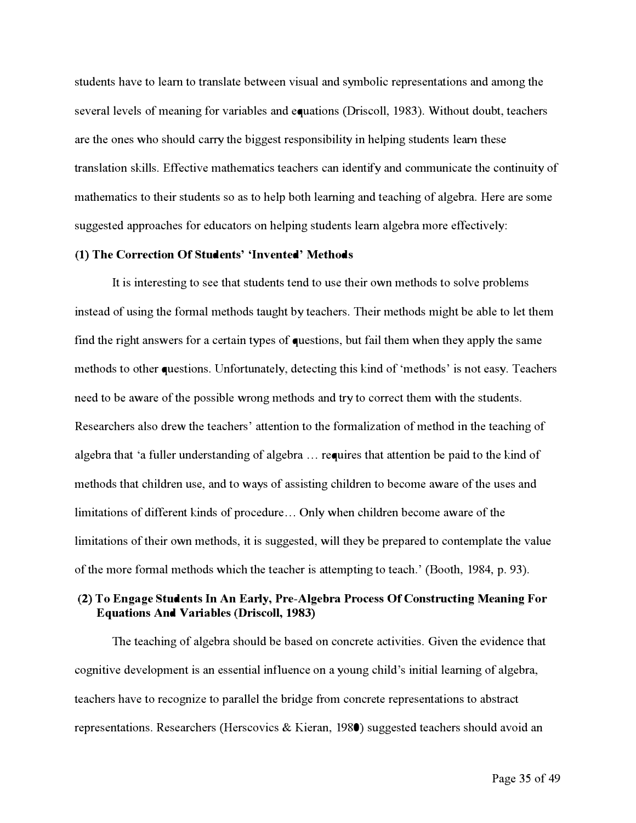s**t**uden**t**s have **t**o learn **t**o **t**ransla**t**e be**t**ween visual and symbolic represen**t**a**t**ions and among **t**he several levels of meaning for variables and equa**t**ions (Driscoll, 1983). Wi**t**hou**t** doub**t**, **t**eachers are **t**he ones who should carry **t**he bigges**t** responsibili**t**y in helping s**t**uden**t**s learn **t**hese **t**ransla**t**ion skills. Effec**t**ive ma**t**hema**t**ics **t**eachers can iden**t**ify and communica**t**e **t**he con**t**inui**t**y of ma**t**hema**t**ics **t**o **t**heir s**t**uden**t**s so as **t**o help bo**t**h learning and **t**eaching of algebra. Here are some sugges**t**ed approaches for educa**t**ors on helping s**t**uden**t**s learn algebra more effec**t**ively:

#### **(1) The Correction Of Students' 'Invented' Methods**

I**t** is in**t**eres**t**ing **t**o see **t**ha**t** s**t**uden**t**s **t**end **t**o use **t**heir own me**t**hods **t**o solve problems ins**t**ead of using **t**he formal me**t**hods **t**augh**t** by **t**eachers. *T*heir me**t**hods migh**t** be able **t**o le**t t**hem find **t**he righ**t** answers for a certain **t**ypes of ques**t**ions, bu**t** fail **t**hem when **t**hey apply **t**he same me**t**hods **t**o o**t**her ques**t**ions. *U*nfor**t**una**t**ely, de**t**ec**t**ing **t**his kind of 'me**t**hods' is no**t** easy. *T*eachers need **t**o be aware of **t**he possible wrong me**t**hods and **t**ry **t**o correc**t t**hem wi**t**h **t**he s**t**uden**t**s. Researchers also drew **t**he **t**eachers' a**t**ten**t**ion **t**o **t**he formaliza**t**ion of me**t**hod in **t**he **t**eaching of algebra **t**ha**t** 'a fuller unders**t**anding of algebra ... requires **t**ha**t** a**tt**en**t**ion be paid **t**o **t**he kind of me**t**hods **t**ha**t** children use, and **t**o ways of assis**t**ing children **t**o become aware of **t**he uses and limi**t**a**t**ions of differen**t** kinds of procedure ... Only when children become aware of **t**he limi**t**a**t**ions of **t**heir own me**t**hods, i**t** is sugges**t**ed, will **t**hey be prepared **t**o con**t**empla**t**e **t**he value of **t**he more formal me**t**hods which **t**he **t**eacher is a**t**temp**t**ing **t**o **t**each.' (Boo**t**h, 1984, p. 93).

#### **(2) To Engage Students In An Early, Pre-Algebra Process Of Constructing Meaning For Equations And Variables (Driscoll, 1983)**

*T*he **t**eaching of algebra should be based on concre**t**e ac**t**ivi**t**ies. Given **t**he evidence **t**ha**t**  cogni**t**ive developmen**t** is an essen**t**ial influence on a young child's ini**t**ial learning of algebra, **t**eachers have **t**o recognize **t**o parallel **t**he bridge from concre**t**e represen**t**a**t**ions **t**o abs**t**rac**t**  represen**t**a**t**ions. Researchers (Herscovics & Kieran, 1980) sugges**t**ed **t**eachers should avoid an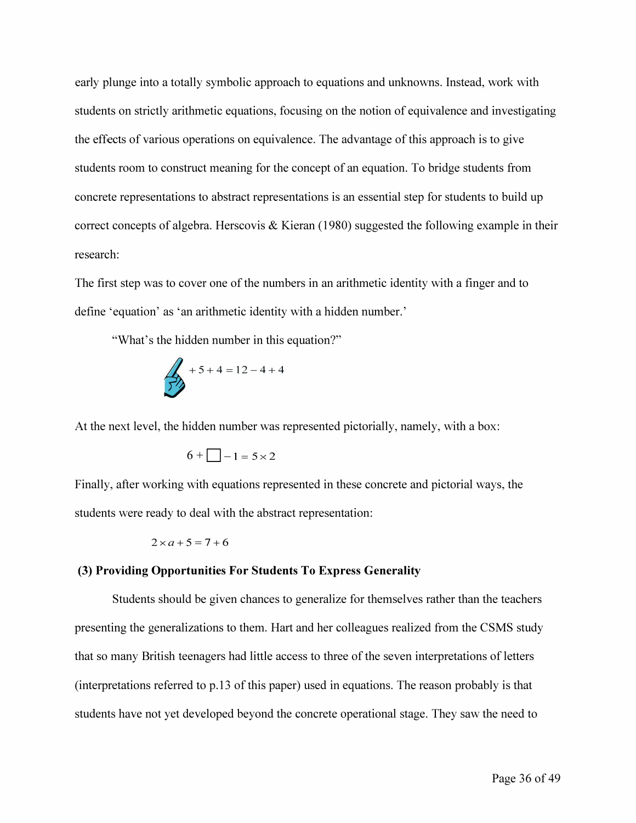*early plunge into a totally symbolic approach to equations and unknowns. Instead, work with students on strictly arithmetic equations, focusing on the notion of equivalence and investigating the effects of various operations on equivalence. The advantage of this approach is to give students room to construct meaning for the concept of an equation. To bridge students from concrete representations to abstract representations is an essential step for students to build up correct concepts of algebra. Herscovis & Kieran (1980) suggested the following example in their research:* 

*The first step was to cover one of the numbers in an arithmetic identity with a finger and to define 'equation' as 'an arithmetic identity with a hidden number.'* 

*"What's the hidden number in this equation?"* 

$$
+5+4=12-4+4
$$

*At the next level, the hidden number was represented pictorially, namely, with a box:* 

$$
6 + \boxed{-1} = 5 \times 2
$$

*Finally, after working with equations represented in these concrete and pictorial ways, the students were ready to deal with the abstract representation:* 

$$
2 \times a + 5 = 7 + 6
$$

#### *(3) Providing Opportunities For Students To Express Generality*

*Students should be given chances to generalize for themselves rather than the teachers presenting the generalizations to them. Hart and her colleagues realized from the CSMS study that so many British teenagers had little access to three of the seven interpretations of letters (interpretations referred to p.13 of this paper) used in equations. The reason probably is that students have not yet developed beyond the concrete operational stage. They saw the need to*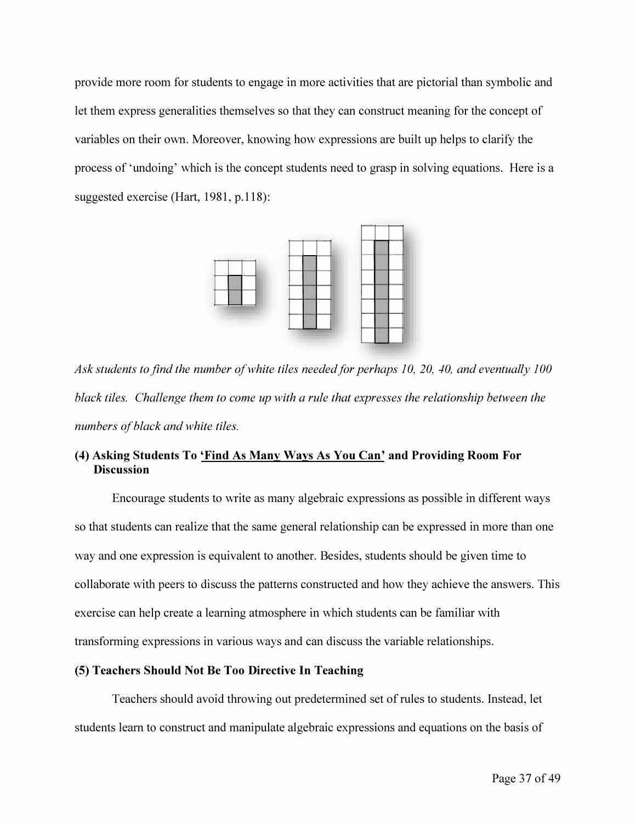provide more room for students to engage in more activities that are pictorial than symbolic and *let them express generalities themselves so that they can construct meaning for the concept of variables on their own. Moreover, knowing how expressions are built up helps to clarify the process of 'undoing' which is the concept students need to grasp in solving equations. Here is a suggested exercise (Hart, 1981, p.118):* 



Ask students to find the number of white tiles needed for perhaps 10, 20, 40, and eventually 100 black tiles. Challenge them to come up with a rule that expresses the relationship between the *numbers of black and white tiles.* 

#### *(4) Asking Students To 'Find As Many Ways As You Can' and Providing Room For Discussion*

Encourage students to write as many algebraic expressions as possible in different ways so that students can realize that the same general relationship can be expressed in more than one *way and one expression is equivalent to another. Besides, students should be given time to*  collaborate with peers to discuss the patterns constructed and how they achieve the answers. This *exercise can help create a learning atmosphere in which students can be familiar with*  transforming expressions in various ways and can discuss the variable relationships.

#### *(5) Teachers Should Not Be Too Directive In Teaching*

*Teachers should avoid throwing out predetermined set of rules to students. Instead, let*  students learn to construct and manipulate algebraic expressions and equations on the basis of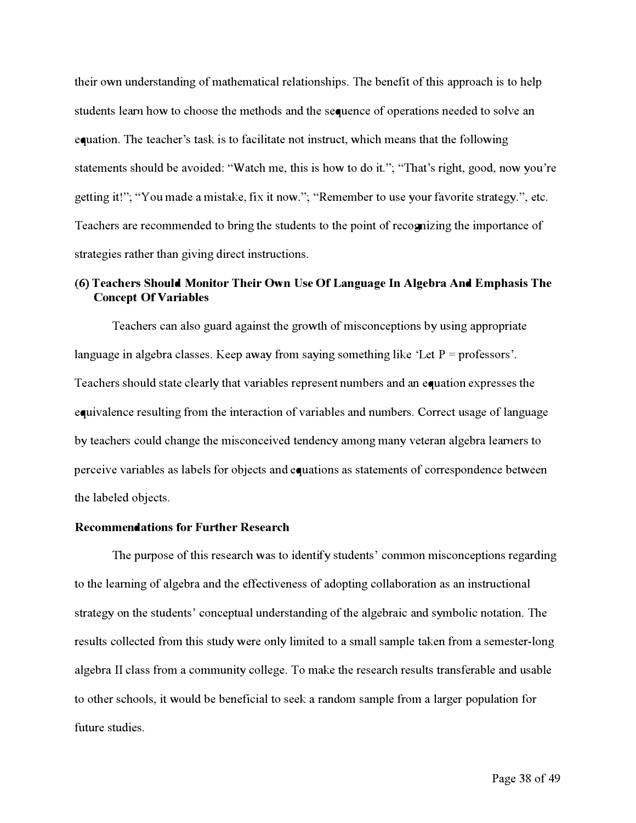their own understanding of mathematical relationships. The benef*i*t of this approach is to help students learn how to choose the methods and the sequence of operations needed to solve an equation. The teacher's task is to facilitate not instruct, which means that the f*o*llowing statements should be avoided: "Watch me, this is how to do it."; "That's right, good, now you're get*t*ing it!"; "You made a mistake, f*i*x it now."; "Remember to use your favorite strategy.", etc. Teachers are recommended to bring the students to the point of recognizing the impor*t*ance of strategies rather than giving direct instructions.

#### **(6) Teachers Sho***u***ld Monitor Their O***w***n Use Of Language In Algebra And Emphasis The Concept Of Variables**

Teachers can also guard against the growth of misconceptions by using appropriate language in algebra classes. Keep away from saying something like 'Let  $P =$  professors'. Teachers should state clearly that variables represent numbers and an equation expresses the equivalence resulting from the interaction of variables and numbers. Correct usage of language by teachers could change the misconceived tendency among many veteran algebra learners to perceive variables as labels f*o*r objects and equations as statements of correspondence between the labeled objects.

#### **Recommendations for Further Research**

The purpose of this research was to identify students' common misconceptions regarding to the lea*rn*ing of algebra and the ef*f*ectiveness of adopting collaboration as an instructional strategy on the students' conceptual understanding of the algebraic and symbolic notation. The results collected from this study were only limited to a small sample taken from a semester*-*long algebra *II* class from a community college. To make the research results transf*e*rable and usable to other schools, it would be benef*i*cial to seek a random sample from a larger population f*o*r f*u*ture studies.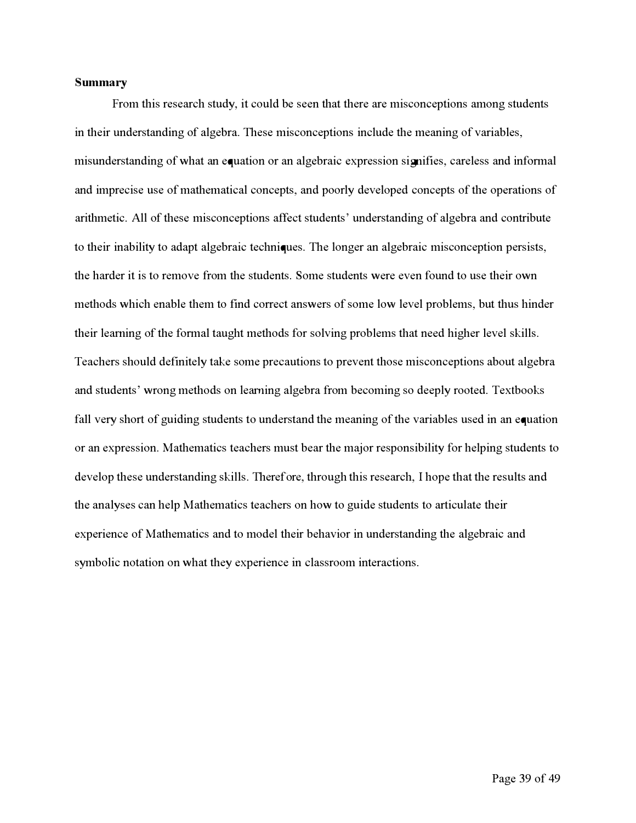#### **Summary**

From this research study, it could be seen that there are misconceptions among students in their understanding of algebra. These misconceptions include the meaning of variables, misunderstanding of what an equation or an algebraic expression signifies, careless and informal and imprecise use of mathematical concepts, and poorly developed concepts of the operations of arithmetic. All of these misconceptions af**f**ect students' understanding of algebra and contribute to their inability to adapt algebraic techniques. The longer an algebraic misconception persists, the harder it is to remove f**r**om the students. Some students were even found to use their own methods which enable them to find correct answers of some low level problems, but thus hinder their learning of the formal taught methods for solving problems that need higher level skills. Teachers should definitely take some precautions to prevent those misconceptions about algebra and students' wrong methods on learning algebra f**r**om becoming so deeply rooted. Tex**t**books fall very short of guiding students to understand the meaning of the variables used in an equation or an expression. Mathematics teachers must bear the major responsibility for helping students to develop these understanding skills. Therefore, through this research, I hope that the results and the analyses can help Mathematics teachers on how to guide students to ar**t**iculate their experience of Mathematics and to model their behavior in understanding the algebraic and symbolic notation on what they experience in classroom interactions.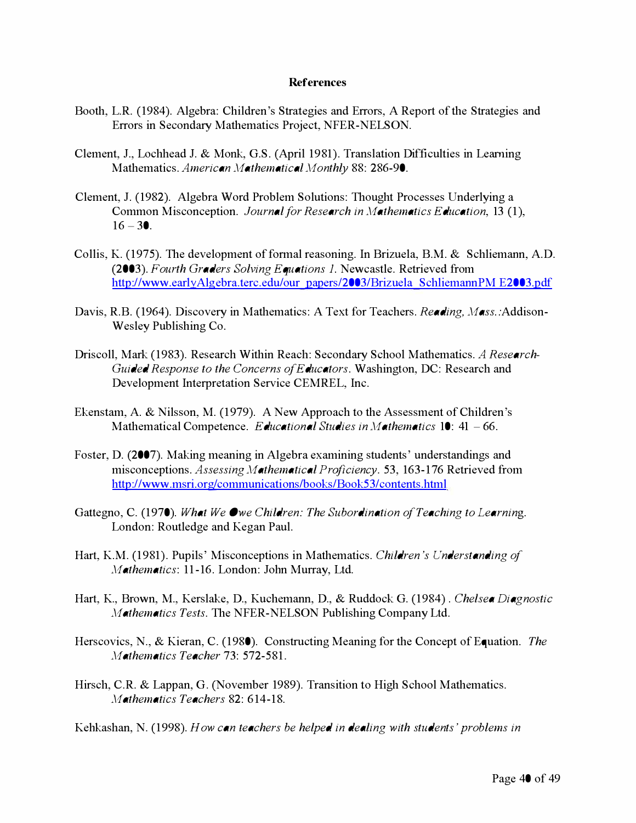#### **References**

- Booth, L.R. (1984). Algebra: Children's Strategies and Errors, A Repor*t* of the Strategies and Errors in Secondary Mathematics Project, NFER-NELSON.
- Clement, J., Lochhead J. & Monk, G.S. (April 1981). Translation Diff*i*c**u**lties in Learning Mathematics. *Americ***a***n* **Ma***them***a***tic***a***l* **M***onthly* 88: 286-90.
- Clement, J. (1982). Algebra Word Problem Sol**u**tions: Tho**u**ght Processes Underlying a Common Misconception. *Journ***a***l* **f***or Re***s***e***a***rch in* **Ma***them***a***tic***s** *Educ***a***tion,* 13 ( 1 ),  $16 - 30$ .
- Collis, K. (1975). The development of *fo*rmal reasoning. In Briz**u**ela, B.M. & Schliema*n*n, A.D. (2003). *Fourth Gr***a***der***s S***olving Equ***a***tion***s** *1.* Newcastle. Retrieved *fr*om ht*t*[p://www.earlyAlgebra.terc.ed](http://www.earlyalgebra.terc.edu/our_papers/2003/Brizuela_SchliemannPM%20E2003.pdf)**u**/o**u**r papers/2003/Briz**u**ela Schliema*n*nPM E2003.pdf
- Davis, R.B. (1964). Discovery in Mathematics: A Tex*t fo*r Teachers. *Re***a***ding***,** Mass.:Addison-Wesley P**u**blishing Co.
- Driscoll, Mark (1983). Research Within Reach: Secondary School Mathematics. *A Re***s***e***a***rch-Guided Re***s***pon***s***e to the Concern***s** *o***f** *Educ***a***tor***s***.* Washing*t*on, DC: Research and Development Interpretation Service CEMREL, Inc.
- Ekenstam, A. & Nilsson, M. (1979). A New Approach to the Assessment of Children's Mathematical Competence. *Educ***a***tion***a***l* **S***tudie***s** *in* **Ma***them***a***tic***s** 10: 41 - 66.
- Foster, D. (2007). Making meaning in Algebra examining st**u**dents' **u**nderstandings and misconceptions. *A***ss***e***ss***ing* **Ma***them***a***tic***a***l Proficiency.* 53, 163-176 Retrieved *fr*om http://www.msri.org/communications/books/Book53/contents.html
- Gat*t*egno, C. (1970). *Wh***a***t We Owe Children***:** *The* **S***ubordin***a***tion o***f***Te***a***ching to Le***a***rning.*  London: Ro**u**tledge and Kegan Pa**u**l.
- Har*t*, K.M. (1981). P**u**pils' Misconceptions in Mathematics. *Children '***s** *Under***s***t***a***nding o***f Ma***them***a***tic***s:** 11-16. London: Jo*h*n M**u**rray, L*t*d.
- Har*t*, K., Brown, M., Kerslake, D., K**u**chemann, D., & R**u**ddock G. (1984) . *Chel***s***e***a** *Di***a***gno***s***tic*  **Ma***them***a***tic***s** *Te***s***t***s***.* The NFER-NELSON P**u**blishing Company L*t*d.
- Herscovics, N., & Kieran, C. (1980). Constr**u**cting Meaning *fo*r the Concept of Eq**u**ation. *The*  **Ma***them***a***tic***s** *Te***a***cher* 73: 572-581.
- Hirsch, C.R. & Lappan, G. (November 1989). Transition to High School Mathematics. **Ma***them***a***tic***s** *Te***a***cher***s** 82: 614-18.

Ke*h*kashan, N. (1998). *How c***a***n te***a***cher***s** *be helped in de***a***ling with* **s***tudent***s** *' problem***s** *in*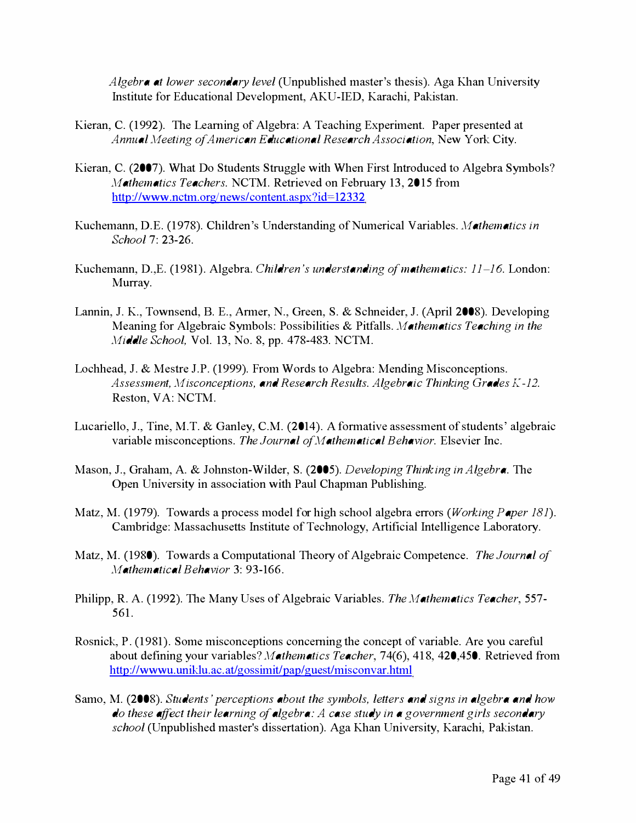**A***lgebra at lower se***c***on***d***ary level* (Unpublished master's thesis). Aga Khan University Institute for Educational Development, AKU-IED, Karachi, Pakistan.

- Kieran, C. (1992). The Leaming of Algebra: A Teaching Experiment. Paper presented at **A***nnual Meeting o***f A***meri***c***an* **Ed***u***c***ational Resear***c***h* **A***sso***c***iation,* New York City.
- Kieran, C. (2007). What Do Students Struggle with When First Introduced to Algebra Symbols? *Mathemati***c***s Tea***c***hers.* NCTM. Retrieved on February 13, 2015 from ht**t**[p://www.nctm.org/news/content.aspx?id](http://www.nctm.org/news/content.aspx?id=12332)<sup>=</sup>12332
- Kuchemann, D.E. (1978). Children's Understanding of Numerical Variables. *Mathemati***c***s in S***c***hool* 7: 23-26.
- Kuchemann, D.,E. (1981). Algebra. *Chil***d***ren 's un***d***erstan***d***ing o***f** *mathemati***c***s: 11-16.* London: Murray.
- Lannin, J. K., Townsend, B. E., Armer, N., Green, S. & Schneider, J. (April 2008). Developing Meaning for Algebraic Symbols: Possibilities & Pitfalls. *Mathemati***c***s Tea***c***hing in the Mi***dd***le S***c***hool,* Vol. 13, No. 8, pp. 478-483. NCTM.
- Lochhead, J. & Mestre J.P. (1999). From Words to Algebra: Mending Misconceptions. **A***ssessment, Mis***c***on***c***eptions, an***d** *Resear***c***h Results.* **A***lgebrai***c** *Thinking* **G***ra***d***es K-12.*  Reston, VA: NCTM.
- Lucariello, J., Tine, M.T. & Ganley, C.M. (2014). A formative assessment of students' algebraic variable misconceptions. *The Journal o***f***M athemati***c***al Behavior.* Elsevier Inc.
- Mason, J., Graham, A. & Johnston-Wilder, S. (2005). *Developing Thinking in* **A***lgebra.* The Open University in association with Paul Chapman Publishing.
- Matz, M. (1979). Towards a process model for high school algebra errors *(Working Paper 181).*  Cambridge: Massachusetts Institute of Technology, Ar**t**ificial Intelligence Labor**at**ory.
- Matz, M. (1980). Towards a Computational Theory of Algebraic Competence. *The Journal o***f**  *Mathemati***c***al Behavior* 3: 93-166.
- Philipp, R. A. (1992). The Many Uses of Algebraic Variables. *The Mathemati***c***s Tea***c***her,* 557- 561.
- Rosnick, P. (1981). Some misconceptions conce*rn*ing the concept of variable. Are you caref**u**l about defining your variables? *Mathemati***c***s Tea***c***her,* 74(6), 418, 420,450. Retrieved from http://wwwu.uniklu.ac.at/gossimit/pap/guest/misconvar.html
- Samo, M. (2008). *Stu***d***ents ' per***c***eptions about the symbols, letters an***d** *signs in algebra an***d** *how*  **d***o these affe***c***t their learning o***f** *algebra:* **A c***ase stu***d***y in a government girls se***c***on***d***ary s***c***hool* (Unpublished master's disser**t**ation). Aga Khan University, Karachi, Pakistan.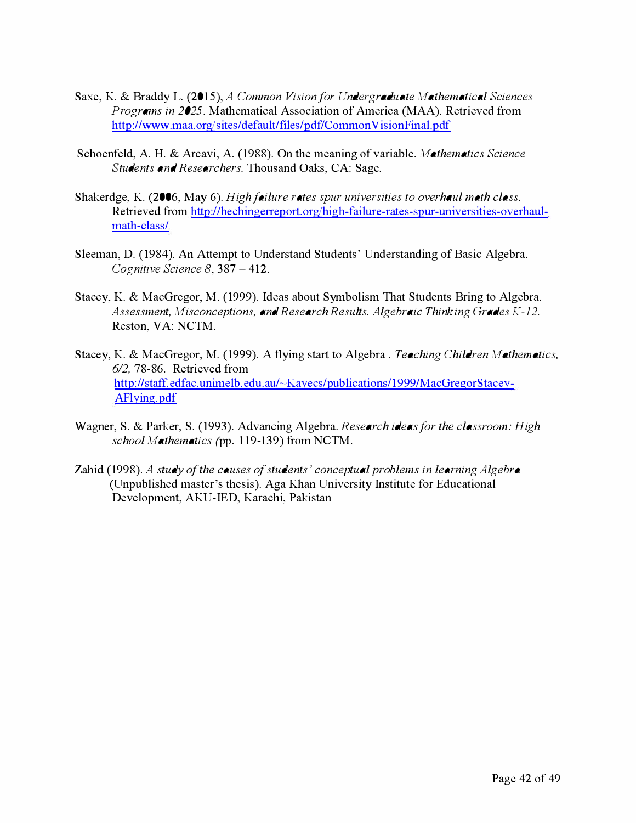- Saxe*,* **K**. *& B*ra*ddy* L. (2015)*,*A *Common Vision for Undergraduate Mathematical Sciences Programs in 2025.* Mathematical Association of **A**merica (MAA). Retrieve*d* from [http:/ /www.maa.org/sites/](http://www.maa.org/sites/default/files/pdf/CommonVisionFinal.pdf)*d*efault/files/p*d*f/Common V isionFinal. p*d*f
- Schoenfel*d,* A. H. *&* Arcavi*,* A. (1988). On the meaning of variable. *Mathematics Science Students and Researchers.* Thousan*d* Oaks*,* CA: **S**ag**e**.
- **S**hak**e**r*d*g**e***,* **K**. **(**2006*,* Ma*y* 6). *High failure rates spur universities to overhaul math class.*  R**e**tri**e**v**e***d* from http://h**e**ching**e**rr**e**[port.org/high-f](http://hechingerreport.org/high-failure-rates-spur-universities-overhaul-math-class/)**a**ilur**e**-rat**e**s-spur-univ**e**rsiti**e**s-ov**e**rhaul[math-class/](http://hechingerreport.org/high-failure-rates-spur-universities-overhaul-math-class/)
- **S**l**ee**man*,* D. **(**198**4**). **A**n Att**e**mpt to Un*d***e**rstan*d* **S**tu*d***e**nts' Un*d***e**rstan*d*ing of *B*asic Alg**e**bra. *Cognitive Science 8,* 38**7** - **4**12.
- **S**tac**e***y,* **K**. *&* Mac**G**r**e**gor*,* M. **(**1999). **I***d***e**as about **S***y*mbolism That **S**tu*d***e**nts *B*ring to Alg**e**bra. *Assessment***,** *Misconceptions***,** *and Research Results. Algebraic Thinking* **G***rades* **K***-12.*  R**e**ston*,* VA: **N**CTM.
- **S**tac**e***y,* **K**. *&* Mac**G**r**e**gor*,* M. **(**1999). A fl*y*ing start to Alg**e**bra . *Teaching Children Mathematics***,**  *6/2***, 7**8-86. R**e**tri**e**v**e***d* from http:! /staf**f**. **e***d*f**a**c. unim**e**lb. **e***d*u.au/~ **K**ay**e**[cs/publications/1999/Mac](http://staff.edfac.unimelb.edu.au/~Kayecs/publications/1999/MacGregorStacey-AFlying.pdf)**G**r**e**gor**S**tac**e**[y-](http://staff.edfac.unimelb.edu.au/~Kayecs/publications/1999/MacGregorStacey-AFlying.pdf)[AFlying.p](http://staff.edfac.unimelb.edu.au/~Kayecs/publications/1999/MacGregorStacey-AFlying.pdf)*d*[f](http://staff.edfac.unimelb.edu.au/~Kayecs/publications/1999/MacGregorStacey-AFlying.pdf)
- Wagn**e**r*,* **S**. *&* Park**e**r*,* **S**. **(**1993). A*d*vancing Alg**e**bra. *Research ideas for the classroom: High school Mathematics* (pp. 1 19-139) from **N**CTM.
- Zahi*d* **(**1998). *A study of the causes of students ' conceptual problems in learning Algebra*  **(**Unpublish**e***d* mast**e**r's th**e**sis). Aga **K**han Univ**e**rsit*y* **I**nstitut**e** for E*d*ucational D**e**v**e**lopm**e**nt*,* A**K**U-**I**ED*,* **K**arachi*,* Pakistan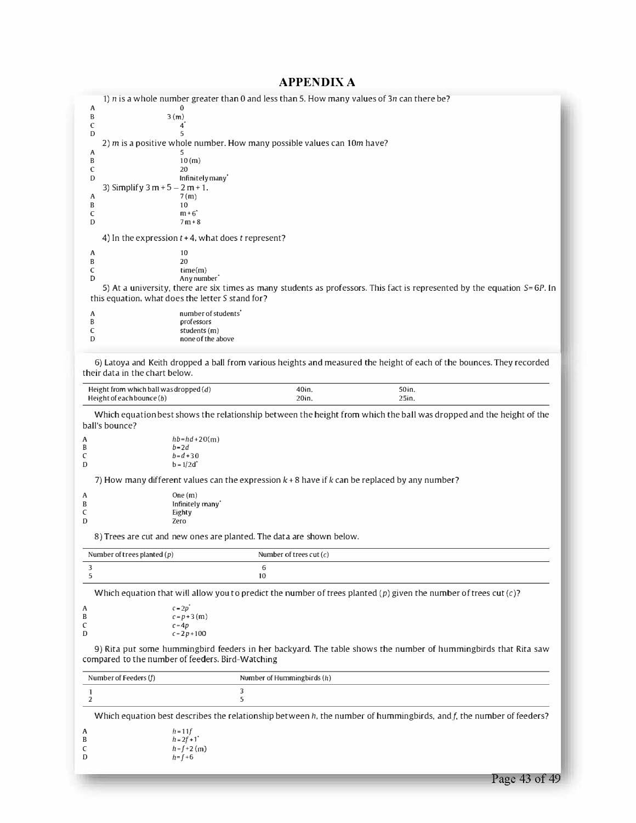# **APPENDIX A**

|                               | 1) $n$ is a whole number greater than 0 and less than 5. How many values of 3n can there be?       |                            |                                                                                                                                 |  |
|-------------------------------|----------------------------------------------------------------------------------------------------|----------------------------|---------------------------------------------------------------------------------------------------------------------------------|--|
| A<br>B                        | 3(m)                                                                                               |                            |                                                                                                                                 |  |
| C                             | 4*<br>5                                                                                            |                            |                                                                                                                                 |  |
| D                             | 2) $m$ is a positive whole number. How many possible values can $10m$ have?                        |                            |                                                                                                                                 |  |
| A                             | 5                                                                                                  |                            |                                                                                                                                 |  |
| B<br>C                        | 10(m)<br>20                                                                                        |                            |                                                                                                                                 |  |
| D                             | Infinitely many                                                                                    |                            |                                                                                                                                 |  |
| A                             | 3) Simplify $3 m + 5 - 2 m + 1$ .<br>7(m)                                                          |                            |                                                                                                                                 |  |
| B                             | 10                                                                                                 |                            |                                                                                                                                 |  |
| C<br>D                        | $m+6$ <sup>*</sup><br>$7m + 8$                                                                     |                            |                                                                                                                                 |  |
|                               | 4) In the expression $t + 4$ , what does t represent?                                              |                            |                                                                                                                                 |  |
| A                             | 10                                                                                                 |                            |                                                                                                                                 |  |
| B                             | 20                                                                                                 |                            |                                                                                                                                 |  |
| C<br>D                        | time(m)<br>Any number                                                                              |                            |                                                                                                                                 |  |
|                               | this equation, what does the letter S stand for?                                                   |                            | 5) At a university, there are six times as many students as professors. This fact is represented by the equation S=6P. In       |  |
| A                             | number of students <sup>7</sup>                                                                    |                            |                                                                                                                                 |  |
| В<br>C                        | professors                                                                                         |                            |                                                                                                                                 |  |
| D                             | students (m)<br>none of the above                                                                  |                            |                                                                                                                                 |  |
|                               | their data in the chart below.<br>Height from which ball was dropped $(d)$                         | 40in.                      | 6) Latoya and Keith dropped a ball from various heights and measured the height of each of the bounces. They recorded<br>50 in. |  |
| Height of each bounce $(b)$   |                                                                                                    | 20in.                      | 25in.                                                                                                                           |  |
| ball's bounce?<br>A<br>B      | $hb = hd + 20(m)$<br>$b = 2d$                                                                      |                            | Which equation best shows the relationship between the height from which the ball was dropped and the height of the             |  |
| C                             | $b = d + 30$                                                                                       |                            |                                                                                                                                 |  |
| D                             | $b = 1/2d$                                                                                         |                            |                                                                                                                                 |  |
|                               | 7) How many different values can the expression $k + 8$ have if $k$ can be replaced by any number? |                            |                                                                                                                                 |  |
| A<br>B                        | One $(m)$<br>Infinitely many                                                                       |                            |                                                                                                                                 |  |
| C                             | Eighty                                                                                             |                            |                                                                                                                                 |  |
| D                             | Zero                                                                                               |                            |                                                                                                                                 |  |
|                               | 8) Trees are cut and new ones are planted. The data are shown below.                               |                            |                                                                                                                                 |  |
| Number of trees planted $(p)$ |                                                                                                    | Number of trees cut $(c)$  |                                                                                                                                 |  |
| 3<br>5                        |                                                                                                    | 6<br>10                    |                                                                                                                                 |  |
|                               |                                                                                                    |                            | Which equation that will allow you to predict the number of trees planted (p) given the number of trees cut $(c)$ ?             |  |
| A                             | $c = 2p$                                                                                           |                            |                                                                                                                                 |  |
| B<br>C                        | $c = p + 3$ (m)<br>$c = 4p$                                                                        |                            |                                                                                                                                 |  |
| D                             | $c = 2p + 100$                                                                                     |                            |                                                                                                                                 |  |
|                               | compared to the number of feeders. Bird-Watching                                                   |                            | 9) Rita put some hummingbird feeders in her backyard. The table shows the number of hummingbirds that Rita saw                  |  |
| Number of Feeders (f)         |                                                                                                    | Number of Hummingbirds (h) |                                                                                                                                 |  |
| 1                             | 3                                                                                                  |                            |                                                                                                                                 |  |
| 2                             |                                                                                                    |                            |                                                                                                                                 |  |
|                               | 5                                                                                                  |                            | Which equation best describes the relationship between $h$ , the number of hummingbirds, and $f$ , the number of feeders?       |  |

| A | $h = 11f$       |
|---|-----------------|
| B | $h = 2f + 1$    |
| C | $h = f + 2$ (m) |
| D | $h = f + 6$     |

Page 43 of 49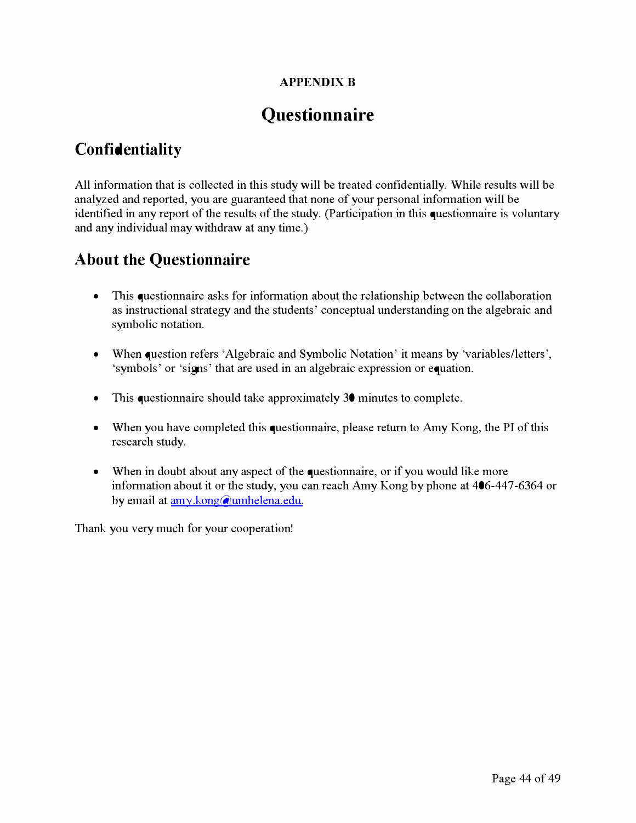### **APPENDIX B**

# **Questionnaire**

# **Confidentiality**

All information that is collected in this study will be treated confidentially. While results will be analyzed and reported, you are guaranteed that none of your personal information will be identified in any report of the results of the study. (Participation in this questionnaire is voluntary and any individual may withdraw at any time.)

# **About the Questionnaire**

- This questionnaire asks for information about the relationship between the collaboration as instructional strategy and the students' conceptual understanding on the algebraic and symbolic notation.
- When question refers 'Algebraic and Symbolic Notation' it means by 'variables/letters', 'symbols' or 'signs' that are used in an algebraic expression or equation.
- This questionnaire should take approximately 30 minutes to complete.
- When you have completed this questionnaire, please return to Amy Kong, the PI of this research study.
- When in doubt about any aspect of the questionnaire, or if you would like more information about it or the study, you can reach Amy Kong by phone at 406-447-6364 or by email at amy.kon**g**[@umhelena.edu.](mailto:amy.kong@umhelena.edu)

Thank you very much for your cooperation!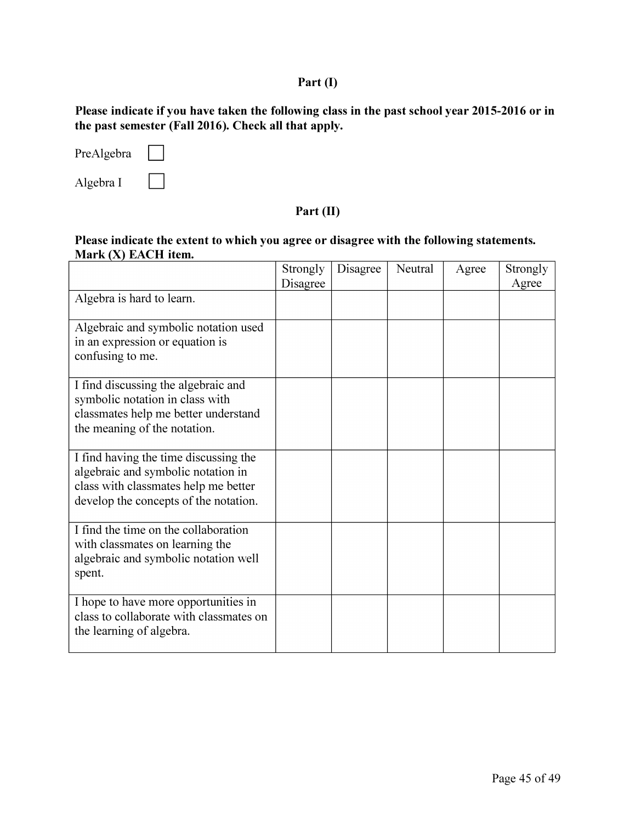## *Part (I)*

*Please indicate if you have taken the following class in the past school year 2015-2016 or in the past semester (Fall 2016). Check all that apply.* 

| PreAlgebra |  |
|------------|--|
| Algebra I  |  |

#### *Part (II)*

#### *Please indicate the extent to which you agree or disagree with the following statements. Mark (X) EACH item.*

|                                                                                                                                                              | Strongly<br>Disagree | Disagree | Neutral | Agree | Strongly<br>Agree |
|--------------------------------------------------------------------------------------------------------------------------------------------------------------|----------------------|----------|---------|-------|-------------------|
| Algebra is hard to learn.                                                                                                                                    |                      |          |         |       |                   |
| Algebraic and symbolic notation used<br>in an expression or equation is<br>confusing to me.                                                                  |                      |          |         |       |                   |
| I find discussing the algebraic and<br>symbolic notation in class with<br>classmates help me better understand<br>the meaning of the notation.               |                      |          |         |       |                   |
| I find having the time discussing the<br>algebraic and symbolic notation in<br>class with classmates help me better<br>develop the concepts of the notation. |                      |          |         |       |                   |
| I find the time on the collaboration<br>with classmates on learning the<br>algebraic and symbolic notation well<br>spent.                                    |                      |          |         |       |                   |
| I hope to have more opportunities in<br>class to collaborate with classmates on<br>the learning of algebra.                                                  |                      |          |         |       |                   |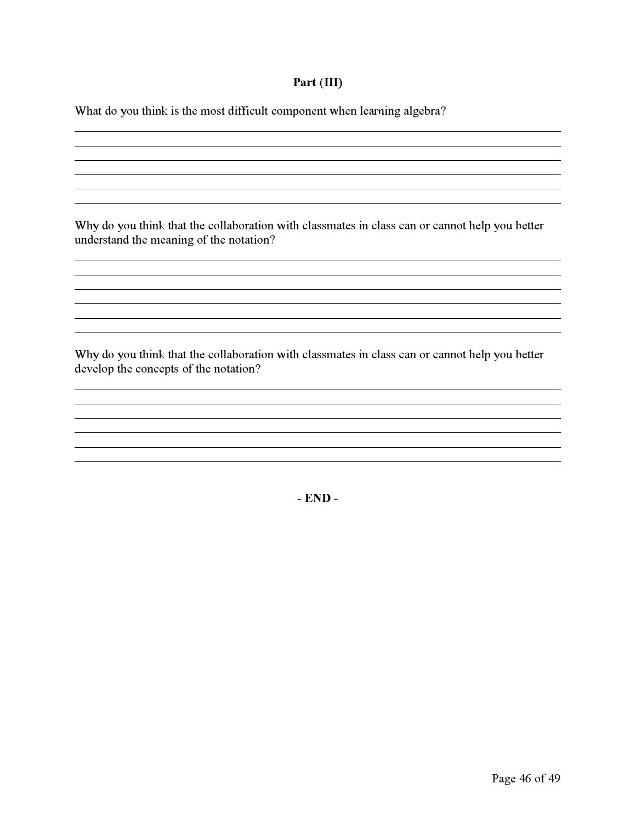#### **Part (III***)*

*W*hat do *y*o*u* think is the most diffic*u*lt component when learning algebra?

*W*h*y* do *y*o*u* think that the collaboration with classmates in class can or cannot help *y*o*u* better *u*nderstand the meaning of the notation?

*W*h*y* do *y*o*u* think that the collaboration with classmates in class can or cannot help *y*o*u* better develop the concepts of the notation?

**- END -**

<u> 1989 - Johann Stoff, amerikansk politiker (d. 1989)</u>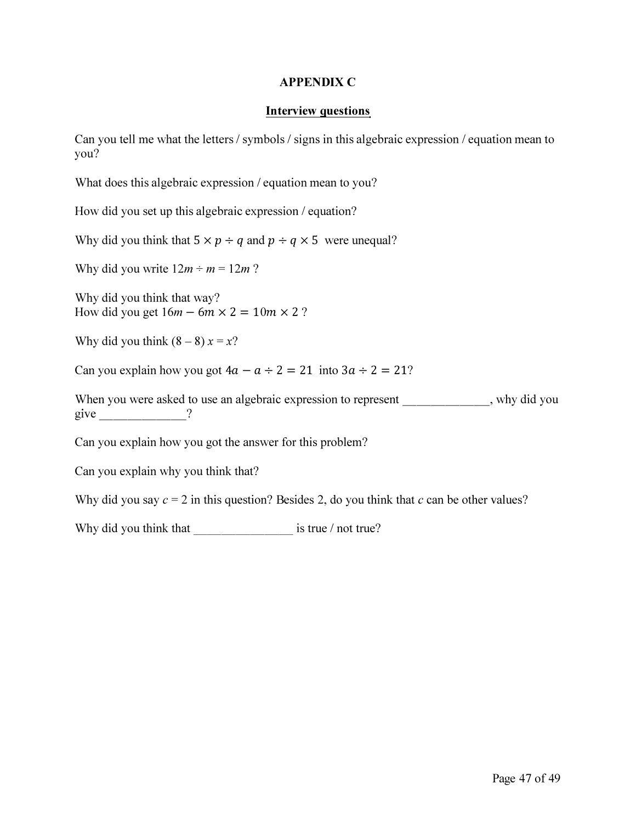#### *APPENDIX C*

#### *Interview questions*

*Can you tell me what the letters / symbols / signs in this algebraic expression / equation mean to you?* 

*What does this algebraic expression / equation mean to you?* 

*How did you set up this algebraic expression / equation?* 

*Why did you think that*  $5 \times p \div q$  and  $p \div q \times 5$  were unequal?

*Why did you write*  $12m \div m = 12m$ *?* 

*Why did you think that way?*  How did you get  $16m - 6m \times 2 = 10m \times 2$ ?

*Why did you think*  $(8-8) x = x$ ?

*Can you explain how you got*  $4a - a \div 2 = 21$  *into*  $3a \div 2 = 21$ *?* 

When you were asked to use an algebraic expression to represent \_\_\_\_\_\_\_\_\_\_, why did you *give \_\_\_\_\_\_ ?* 

*Can you explain how you got the answer for this problem?* 

*Can you explain why you think that?* 

Why did you say  $c = 2$  in this question? Besides 2, do you think that  $c$  can be other values?

Why did you think that \_\_\_\_\_\_\_\_\_\_\_\_\_\_\_\_\_\_\_\_ is true / not true?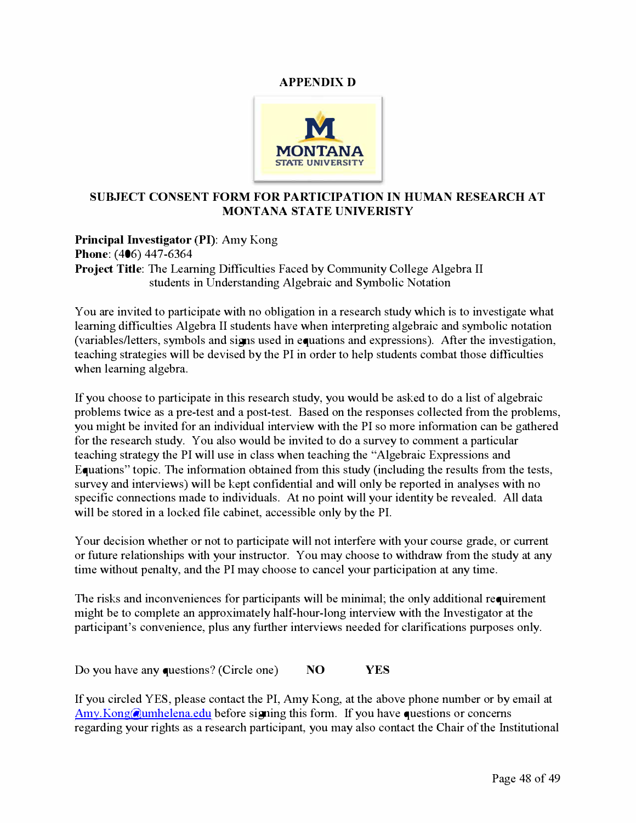#### APP*ENDIX D*



#### *SUB***J***EC***T** *C***O***NSEN***T FORM FOR PARTI***C***IPATIO***N* **I***N* **H***U***MA***N* **R***ESE***AR***C***H AT MO***N***TA***N***A** *S***TAT***E UN***IV***E***RI***S***TY**

**Pri***n***cip***a***l I***n***v***est***ig***at***or (PI): A**my Kon*g*  **P***h***o***ne***:** ( 406) 447-6364 **Project Title:** The Learning Difficulties Faced by Community College Algebra II s*t*ud*e*n*t*s in Und*e*rs*t*andin*g* A**l***ge*braic and Symbo**l**ic No*t*a*t*ion

You are invited to participate with no obligation in a research study which is to investigate what learning difficulties Algebra II students have when interpreting algebraic and symbolic notation (variables/letters, symbols and signs used in equations and expressions). After the investigation, teaching strategies will be devised by the PI in order to help students combat those difficulties wh*e*n **l***e*arnin*g* a**l***ge*bra.

If you choos*e t*o **p**ar**t**ici**p**a*te* in *t*his r*e*s*e*arch s*t*udy, you wou**l**d b*e* ask*e*d *t*o do a **l**is*t* of a**l***ge*braic problems twice as a pre-test and a post-test. Based on the responses collected from the problems, you mi*g*h*t* b*e* invi*te*d for an individua**l** in*te*rvi*e*w wi*t*h *t*h*e* PI so mor*e* informa*t*ion can b*e g*a*t*h*e*r*e*d for *t*h*e* r*e*s*e*arch s*t*udy. You a**l**so wou**l**d b*e* invi*te*d *t*o do a surv*e*y *t*o comm*e*n*t* a **p**ar**t**icu**l**ar teaching strategy the PI will use in class when teaching the "Algebraic Expressions and Equations" topic. The information obtained from this study (including the results from the tests, survey and interviews) will be kept confidential and will only be reported in analyses with no specific connections made to individuals. At no point will your identity be revealed. All data wi**ll** b*e* s*t*or*e*d in a **l**ock*e*d fi**l***e* cabin*et*, acc*e*ssib**l***e* on**l**y by *t*h*e* PI.

Your decision whether or not to participate will not interfere with your course grade, or current or f**u***t*ur*e* r*e***l**a*t*ionshi**p**s wi*t*h your ins*t*ruc*t*or. You may choos*e t*o wi*t*hdraw from *t*h*e* s*t*udy a*t* any time without penalty, and the PI may choose to cancel your participation at any time.

The risks and inconveniences for participants will be minimal; the only additional requirement might be to complete an approximately half-hour-long interview with the Investigator at the participant's convenience, plus any further interviews needed for clarifications purposes only.

Do you hav*e* any qu*e*s*t*ions? (*C*irc**l***e* on*e*) *N***O Y***ES* 

If you circ**l***e*d YES, **pl***e*as*e* con*t*ac*t t*h*e* PI, Amy Kon*g*, a*t t*h*e* abov*e* **p**hon*e* numb*e*r or by *e*mai**l** a*t*  **A**[my.Kon](mailto:Amy.Kong@umhelena.edu)**g**@umh*e***l***e*na.*e*du b*e*for*e* signin*g t*his form. If you hav*e* qu*e*s*t*ions or conc*e*rns regarding your rights as a research participant, you may also contact the Chair of the Institutional